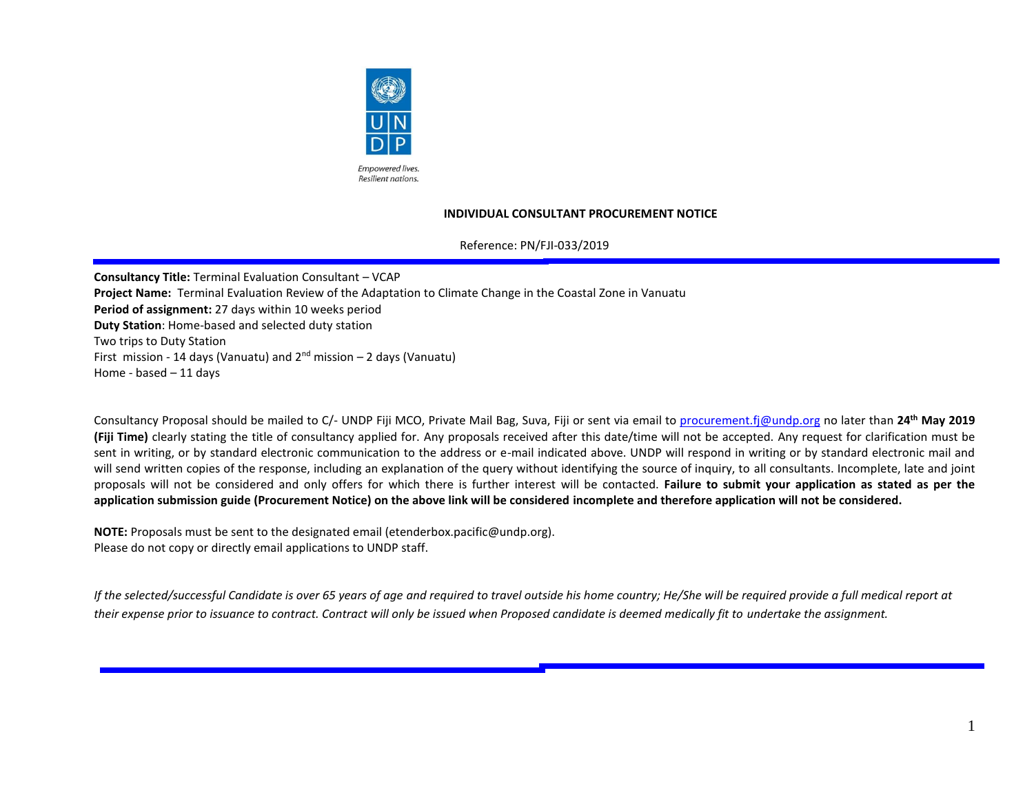

#### **INDIVIDUAL CONSULTANT PROCUREMENT NOTICE**

Reference: PN/FJI-033/2019

**Consultancy Title:** Terminal Evaluation Consultant – VCAP **Project Name:** Terminal Evaluation Review of the Adaptation to Climate Change in the Coastal Zone in Vanuatu **Period of assignment:** 27 days within 10 weeks period **Duty Station**: Home-based and selected duty station Two trips to Duty Station First mission - 14 days (Vanuatu) and  $2^{nd}$  mission – 2 days (Vanuatu) Home - based – 11 days

Consultancy Proposal should be mailed to C/- UNDP Fiji MCO, Private Mail Bag, Suva, Fiji or sent via email to [procurement.fj@undp.org](mailto:procurement.fj@undp.org) no later than **24 th May 2019 (Fiji Time)** clearly stating the title of consultancy applied for. Any proposals received after this date/time will not be accepted. Any request for clarification must be sent in writing, or by standard electronic communication to the address or e-mail indicated above. UNDP will respond in writing or by standard electronic mail and will send written copies of the response, including an explanation of the query without identifying the source of inquiry, to all consultants. Incomplete, late and joint proposals will not be considered and only offers for which there is further interest will be contacted. **Failure to submit your application as stated as per the application submission guide (Procurement Notice) on the above link will be considered incomplete and therefore application will not be considered.**

**NOTE:** Proposals must be sent to the designated email (etenderbox.pacific@undp.org). Please do not copy or directly email applications to UNDP staff.

*If the selected/successful Candidate is over 65 years of age and required to travel outside his home country; He/She will be required provide a full medical report at their expense prior to issuance to contract. Contract will only be issued when Proposed candidate is deemed medically fit to undertake the assignment.*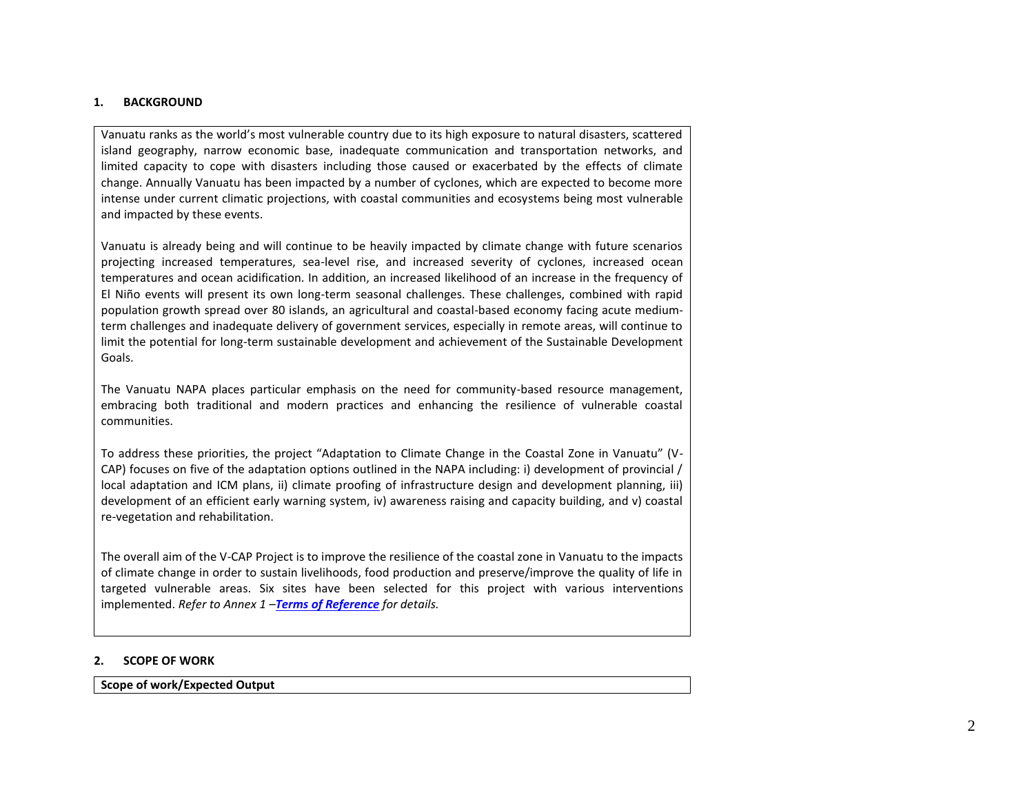#### **1. BACKGROUND**

Vanuatu ranks as the world's most vulnerable country due to its high exposure to natural disasters, scattered island geography, narrow economic base, inadequate communication and transportation networks, and limited capacity to cope with disasters including those caused or exacerbated by the effects of climate change. Annually Vanuatu has been impacted by a number of cyclones, which are expected to become more intense under current climatic projections, with coastal communities and ecosystems being most vulnerable and impacted by these events.

Vanuatu is already being and will continue to be heavily impacted by climate change with future scenarios projecting increased temperatures, sea-level rise, and increased severity of cyclones, increased ocean temperatures and ocean acidification. In addition, an increased likelihood of an increase in the frequency of El Niño events will present its own long-term seasonal challenges. These challenges, combined with rapid population growth spread over 80 islands, an agricultural and coastal-based economy facing acute mediumterm challenges and inadequate delivery of government services, especially in remote areas, will continue to limit the potential for long-term sustainable development and achievement of the Sustainable Development Goals.

The Vanuatu NAPA places particular emphasis on the need for community-based resource management, embracing both traditional and modern practices and enhancing the resilience of vulnerable coastal communities.

To address these priorities, the project "Adaptation to Climate Change in the Coastal Zone in Vanuatu" (V-CAP) focuses on five of the adaptation options outlined in the NAPA including: i) development of provincial / local adaptation and ICM plans, ii) climate proofing of infrastructure design and development planning, iii) development of an efficient early warning system, iv) awareness raising and capacity building, and v) coastal re-vegetation and rehabilitation.

The overall aim of the V-CAP Project is to improve the resilience of the coastal zone in Vanuatu to the impacts of climate change in order to sustain livelihoods, food production and preserve/improve the quality of life in targeted vulnerable areas. Six sites have been selected for this project with various interventions implemented. *Refer to Annex 1 –Terms of Reference for details.*

#### **2. SCOPE OF WORK**

**Scope of work/Expected Output**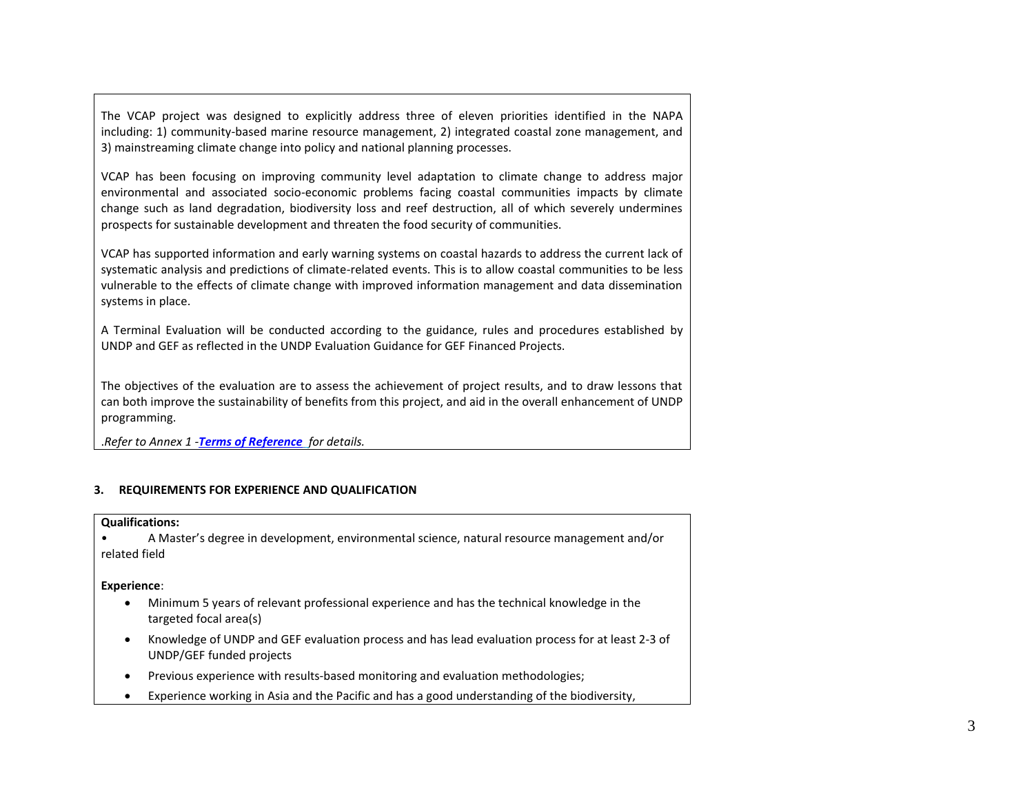The VCAP project was designed to explicitly address three of eleven priorities identified in the NAPA including: 1) community-based marine resource management, 2) integrated coastal zone management, and 3) mainstreaming climate change into policy and national planning processes.

VCAP has been focusing on improving community level adaptation to climate change to address major environmental and associated socio-economic problems facing coastal communities impacts by climate change such as land degradation, biodiversity loss and reef destruction, all of which severely undermines prospects for sustainable development and threaten the food security of communities.

VCAP has supported information and early warning systems on coastal hazards to address the current lack of systematic analysis and predictions of climate-related events. This is to allow coastal communities to be less vulnerable to the effects of climate change with improved information management and data dissemination systems in place.

A Terminal Evaluation will be conducted according to the guidance, rules and procedures established by UNDP and GEF as reflected in the UNDP Evaluation Guidance for GEF Financed Projects.

The objectives of the evaluation are to assess the achievement of project results, and to draw lessons that can both improve the sustainability of benefits from this project, and aid in the overall enhancement of UNDP programming.

.*Refer to Annex 1 -Terms of Reference for details.*

#### **3. REQUIREMENTS FOR EXPERIENCE AND QUALIFICATION**

#### **Qualifications:**

• A Master's degree in development, environmental science, natural resource management and/or related field

#### **Experience**:

- Minimum 5 years of relevant professional experience and has the technical knowledge in the targeted focal area(s)
- Knowledge of UNDP and GEF evaluation process and has lead evaluation process for at least 2-3 of UNDP/GEF funded projects
- Previous experience with results-based monitoring and evaluation methodologies;
- Experience working in Asia and the Pacific and has a good understanding of the biodiversity,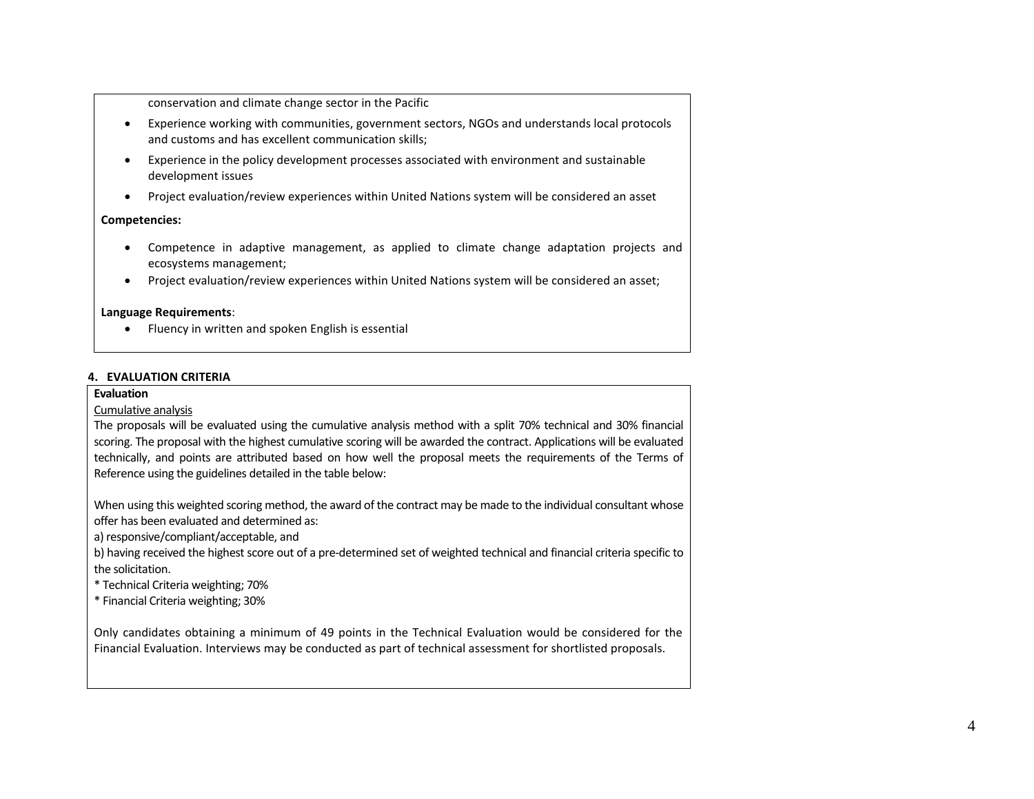conservation and climate change sector in the Pacific

- Experience working with communities, government sectors, NGOs and understands local protocols and customs and has excellent communication skills;
- Experience in the policy development processes associated with environment and sustainable development issues
- Project evaluation/review experiences within United Nations system will be considered an asset

#### **Competencies:**

- Competence in adaptive management, as applied to climate change adaptation projects and ecosystems management;
- Project evaluation/review experiences within United Nations system will be considered an asset;

#### **Language Requirements**:

• Fluency in written and spoken English is essential

#### **4. EVALUATION CRITERIA**

#### **Evaluation**

#### Cumulative analysis

The proposals will be evaluated using the cumulative analysis method with a split 70% technical and 30% financial scoring. The proposal with the highest cumulative scoring will be awarded the contract. Applications will be evaluated technically, and points are attributed based on how well the proposal meets the requirements of the Terms of Reference using the guidelines detailed in the table below:

When using this weighted scoring method, the award of the contract may be made to the individual consultant whose offer has been evaluated and determined as:

a) responsive/compliant/acceptable, and

b) having received the highest score out of a pre-determined set of weighted technical and financial criteria specific to the solicitation.

\* Technical Criteria weighting; 70%

\* Financial Criteria weighting; 30%

Only candidates obtaining a minimum of 49 points in the Technical Evaluation would be considered for the Financial Evaluation. Interviews may be conducted as part of technical assessment for shortlisted proposals.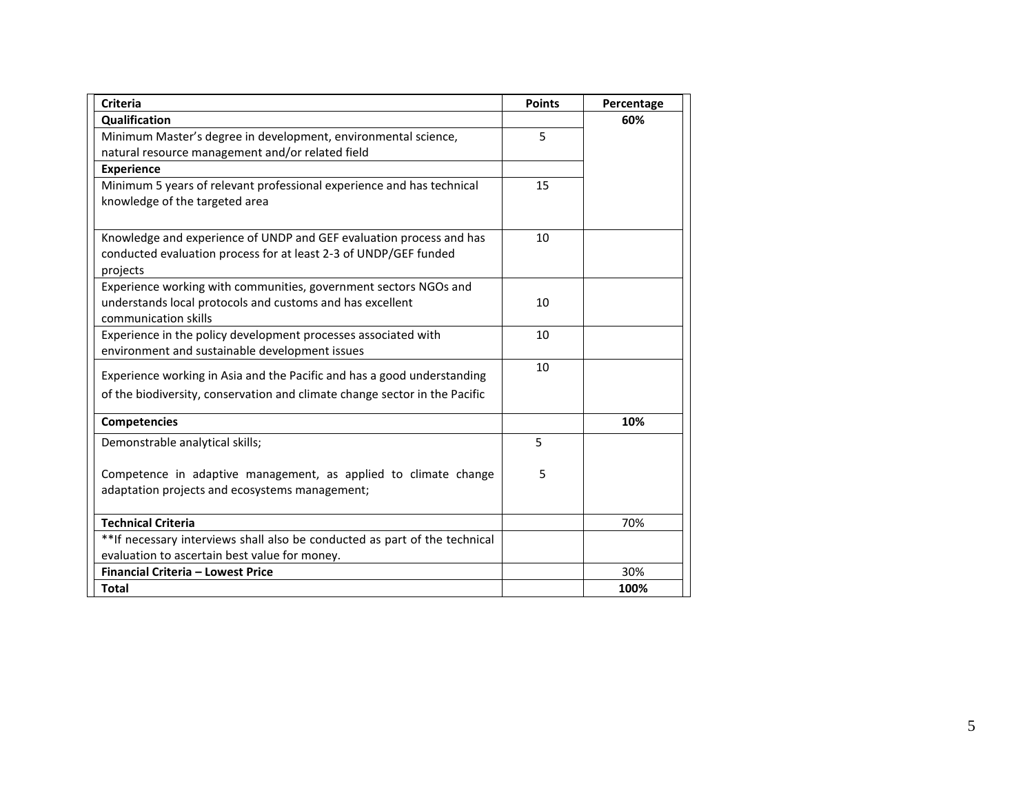| <b>Criteria</b>                                                            | <b>Points</b> | Percentage |
|----------------------------------------------------------------------------|---------------|------------|
| <b>Qualification</b>                                                       |               | 60%        |
| Minimum Master's degree in development, environmental science,             | 5             |            |
| natural resource management and/or related field                           |               |            |
| <b>Experience</b>                                                          |               |            |
| Minimum 5 years of relevant professional experience and has technical      | 15            |            |
| knowledge of the targeted area                                             |               |            |
|                                                                            |               |            |
| Knowledge and experience of UNDP and GEF evaluation process and has        | 10            |            |
| conducted evaluation process for at least 2-3 of UNDP/GEF funded           |               |            |
| projects                                                                   |               |            |
| Experience working with communities, government sectors NGOs and           |               |            |
| understands local protocols and customs and has excellent                  | 10            |            |
| communication skills                                                       |               |            |
| Experience in the policy development processes associated with             | 10            |            |
| environment and sustainable development issues                             |               |            |
| Experience working in Asia and the Pacific and has a good understanding    | 10            |            |
| of the biodiversity, conservation and climate change sector in the Pacific |               |            |
| <b>Competencies</b>                                                        |               | 10%        |
| Demonstrable analytical skills;                                            | 5             |            |
|                                                                            |               |            |
| Competence in adaptive management, as applied to climate change            | 5             |            |
| adaptation projects and ecosystems management;                             |               |            |
| <b>Technical Criteria</b>                                                  |               | 70%        |
| **If necessary interviews shall also be conducted as part of the technical |               |            |
| evaluation to ascertain best value for money.                              |               |            |
| Financial Criteria - Lowest Price                                          |               | 30%        |
| <b>Total</b>                                                               |               | 100%       |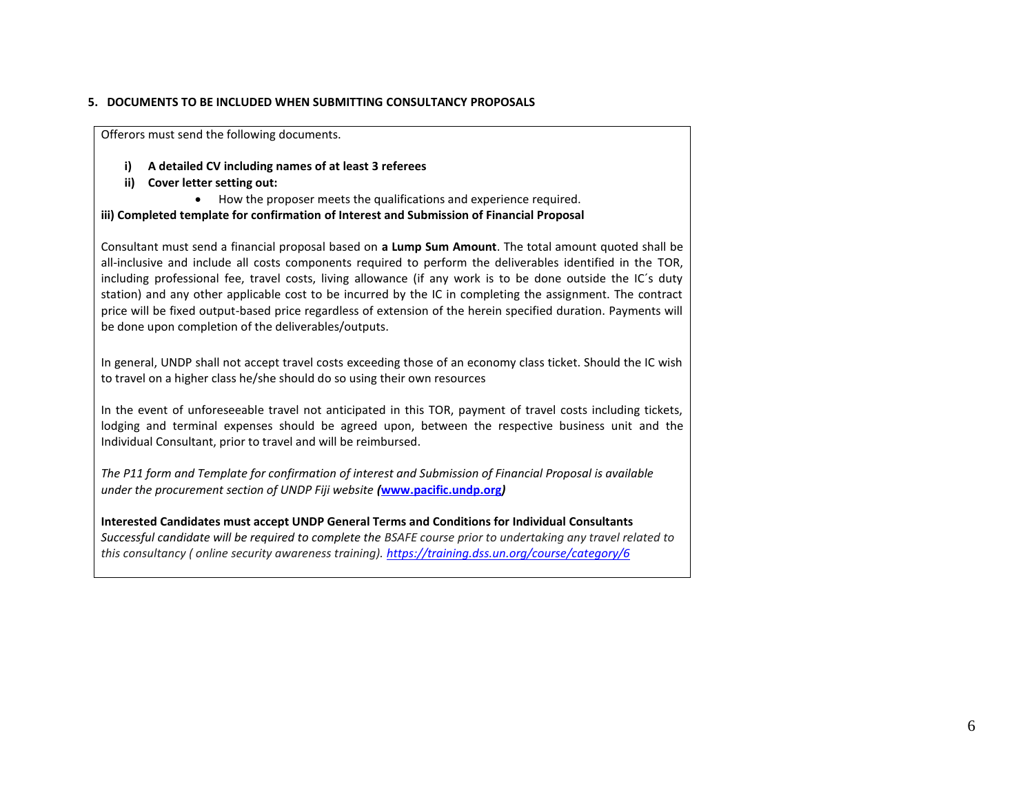#### **5. DOCUMENTS TO BE INCLUDED WHEN SUBMITTING CONSULTANCY PROPOSALS**

Offerors must send the following documents.

- **i) A detailed CV including names of at least 3 referees**
- **ii) Cover letter setting out:**
	- How the proposer meets the qualifications and experience required.

#### **iii) Completed template for confirmation of Interest and Submission of Financial Proposal**

Consultant must send a financial proposal based on **a Lump Sum Amount**. The total amount quoted shall be all-inclusive and include all costs components required to perform the deliverables identified in the TOR, including professional fee, travel costs, living allowance (if any work is to be done outside the IC´s duty station) and any other applicable cost to be incurred by the IC in completing the assignment. The contract price will be fixed output-based price regardless of extension of the herein specified duration. Payments will be done upon completion of the deliverables/outputs.

In general, UNDP shall not accept travel costs exceeding those of an economy class ticket. Should the IC wish to travel on a higher class he/she should do so using their own resources

In the event of unforeseeable travel not anticipated in this TOR, payment of travel costs including tickets, lodging and terminal expenses should be agreed upon, between the respective business unit and the Individual Consultant, prior to travel and will be reimbursed.

*The P11 form and Template for confirmation of interest and Submission of Financial Proposal is available under the procurement section of UNDP Fiji website (***[www.pacific.undp.org](http://www.pacific.undp.org/)***)*

#### **Interested Candidates must accept UNDP General Terms and Conditions for Individual Consultants**

*Successful candidate will be required to complete the BSAFE course prior to undertaking any travel related to this consultancy ( online security awareness training). [https://training.dss.un.org/course/category/6](https://emea01.safelinks.protection.outlook.com/?url=https%3A%2F%2Ftraining.dss.un.org%2Fcourse%2Fcategory%2F6&data=02%7C01%7Cvimal.pillay%40undp.org%7C4635a881217b49b6089808d687284233%7Cb3e5db5e2944483799f57488ace54319%7C0%7C0%7C636845004312325204&sdata=GXOHxNfUhxgf3sA%2B1sMOvxNQau13PLgEe0unte9%2FM%2BE%3D&reserved=0)*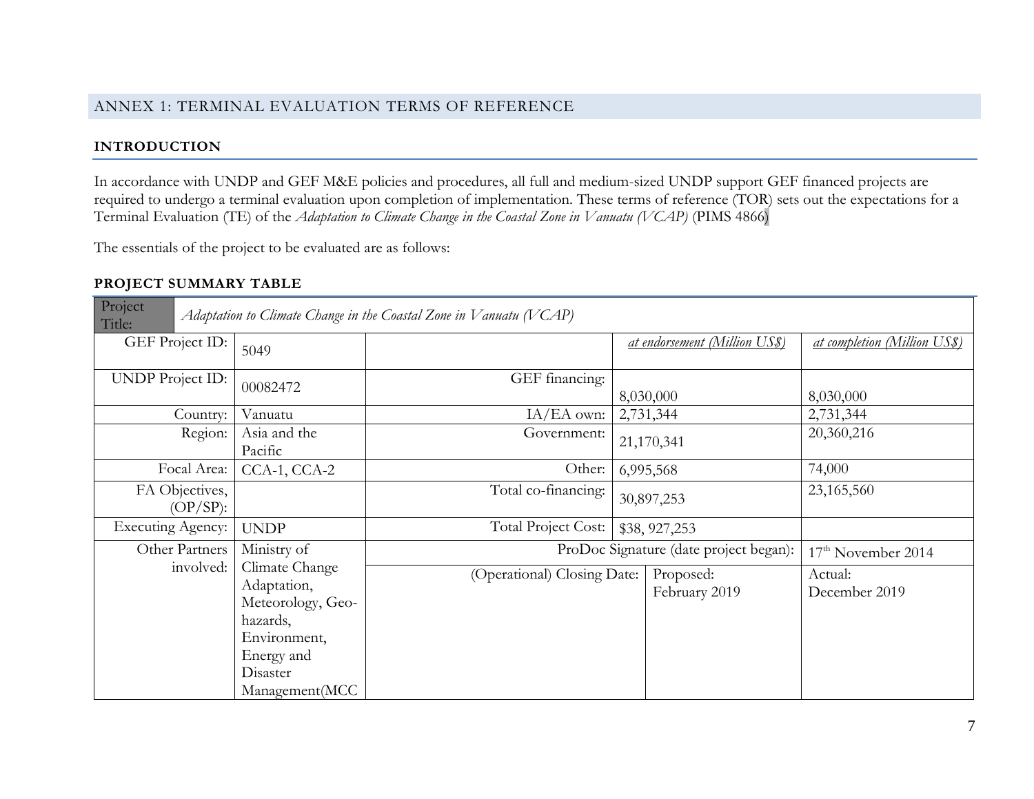### ANNEX 1: TERMINAL EVALUATION TERMS OF REFERENCE

# **INTRODUCTION**

In accordance with UNDP and GEF M&E policies and procedures, all full and medium-sized UNDP support GEF financed projects are required to undergo a terminal evaluation upon completion of implementation. These terms of reference (TOR) sets out the expectations for a Terminal Evaluation (TE) of the *Adaptation to Climate Change in the Coastal Zone in Vanuatu (VCAP)* (PIMS 4866)

The essentials of the project to be evaluated are as follows:

# **PROJECT SUMMARY TABLE**

| Project<br>Title:             |                                                                                                                            | Adaptation to Climate Change in the Coastal Zone in Vanuatu (VCAP) |  |                                |                              |
|-------------------------------|----------------------------------------------------------------------------------------------------------------------------|--------------------------------------------------------------------|--|--------------------------------|------------------------------|
| GEF Project ID:               | 5049                                                                                                                       |                                                                    |  | at endorsement (Million US\$)  | at completion (Million US\$) |
| <b>UNDP</b> Project ID:       | 00082472                                                                                                                   | GEF financing:<br>8,030,000                                        |  | 8,030,000                      |                              |
| Country:                      | Vanuatu                                                                                                                    | $IA/EA$ own:                                                       |  | 2,731,344                      | 2,731,344                    |
| Region:                       | Asia and the<br>Pacific                                                                                                    | Government:<br>21,170,341                                          |  | 20,360,216                     |                              |
| Focal Area:                   | CCA-1, CCA-2                                                                                                               | Other:<br>6,995,568                                                |  | 74,000                         |                              |
| FA Objectives,<br>$(OP/SP)$ : |                                                                                                                            | Total co-financing:<br>30,897,253                                  |  | 23,165,560                     |                              |
| <b>Executing Agency:</b>      | <b>UNDP</b>                                                                                                                | <b>Total Project Cost:</b><br>\$38, 927, 253                       |  |                                |                              |
| Other Partners                | Ministry of                                                                                                                | ProDoc Signature (date project began):                             |  | 17 <sup>th</sup> November 2014 |                              |
| involved:                     | Climate Change<br>Adaptation,<br>Meteorology, Geo-<br>hazards,<br>Environment,<br>Energy and<br>Disaster<br>Management(MCC | (Operational) Closing Date:                                        |  | Proposed:<br>February 2019     | Actual:<br>December 2019     |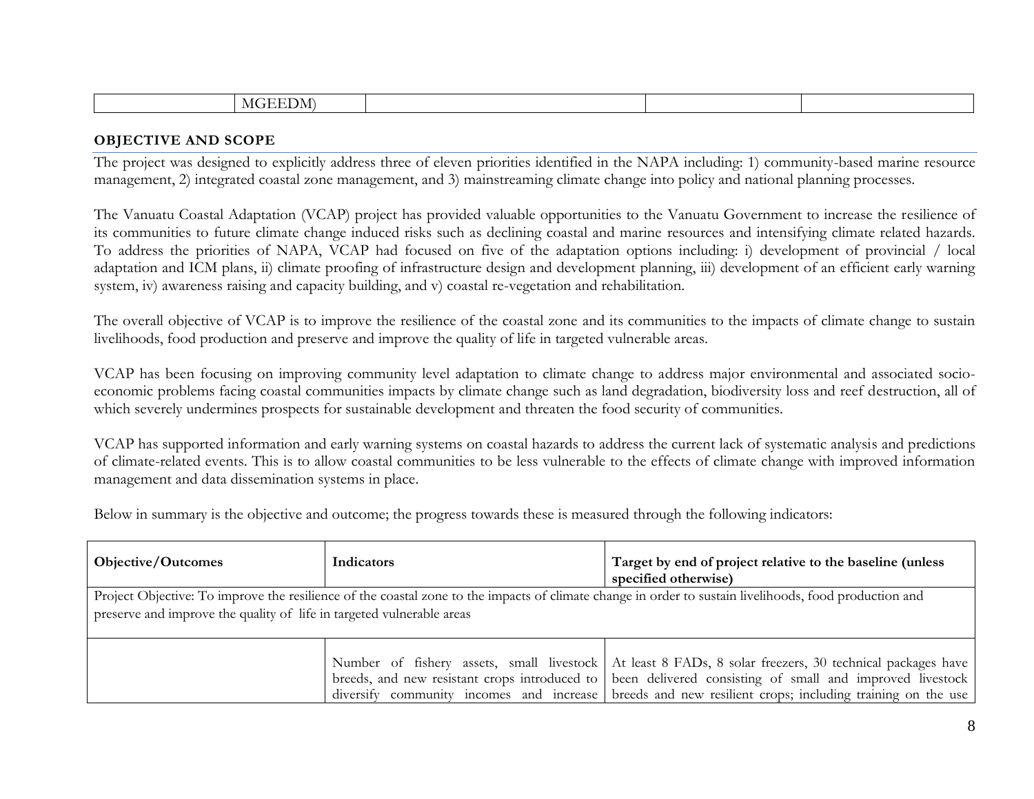| $\mathbf{N}$ |  |  |
|--------------|--|--|

#### **OBJECTIVE AND SCOPE**

The project was designed to explicitly address three of eleven priorities identified in the NAPA including: 1) community-based marine resource management, 2) integrated coastal zone management, and 3) mainstreaming climate change into policy and national planning processes.

The Vanuatu Coastal Adaptation (VCAP) project has provided valuable opportunities to the Vanuatu Government to increase the resilience of its communities to future climate change induced risks such as declining coastal and marine resources and intensifying climate related hazards. To address the priorities of NAPA, VCAP had focused on five of the adaptation options including: i) development of provincial / local adaptation and ICM plans, ii) climate proofing of infrastructure design and development planning, iii) development of an efficient early warning system, iv) awareness raising and capacity building, and v) coastal re-vegetation and rehabilitation.

The overall objective of VCAP is to improve the resilience of the coastal zone and its communities to the impacts of climate change to sustain livelihoods, food production and preserve and improve the quality of life in targeted vulnerable areas.

VCAP has been focusing on improving community level adaptation to climate change to address major environmental and associated socioeconomic problems facing coastal communities impacts by climate change such as land degradation, biodiversity loss and reef destruction, all of which severely undermines prospects for sustainable development and threaten the food security of communities.

VCAP has supported information and early warning systems on coastal hazards to address the current lack of systematic analysis and predictions of climate-related events. This is to allow coastal communities to be less vulnerable to the effects of climate change with improved information management and data dissemination systems in place.

Below in summary is the objective and outcome; the progress towards these is measured through the following indicators:

| Objective/Outcomes                                                    | Indicators | Target by end of project relative to the baseline (unless<br>specified otherwise)                                                                      |  |  |  |
|-----------------------------------------------------------------------|------------|--------------------------------------------------------------------------------------------------------------------------------------------------------|--|--|--|
|                                                                       |            | Project Objective: To improve the resilience of the coastal zone to the impacts of climate change in order to sustain livelihoods, food production and |  |  |  |
| preserve and improve the quality of life in targeted vulnerable areas |            |                                                                                                                                                        |  |  |  |
|                                                                       |            |                                                                                                                                                        |  |  |  |
|                                                                       |            | Number of fishery assets, small livestock   At least 8 FADs, 8 solar freezers, 30 technical packages have                                              |  |  |  |
|                                                                       |            | breeds, and new resistant crops introduced to been delivered consisting of small and improved livestock                                                |  |  |  |
|                                                                       |            | diversify community incomes and increase breeds and new resilient crops; including training on the use                                                 |  |  |  |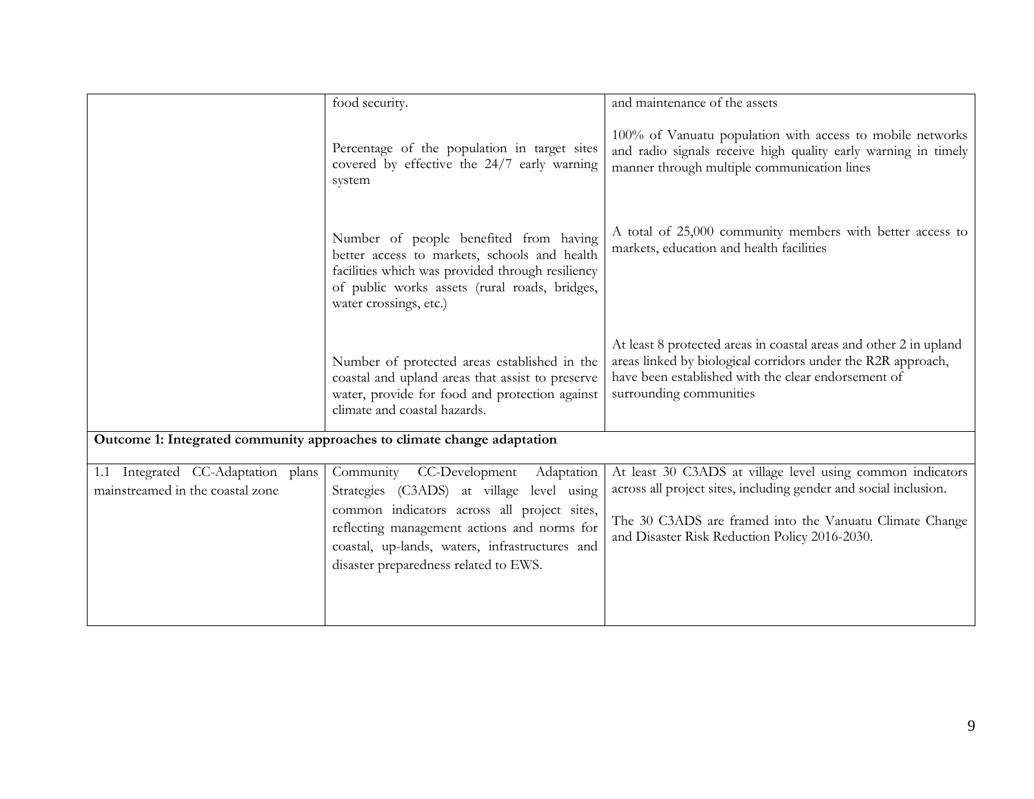|                                                                        | food security.                                                                                                                                                                                                                                                                  | and maintenance of the assets                                                                                                                                                                                                              |
|------------------------------------------------------------------------|---------------------------------------------------------------------------------------------------------------------------------------------------------------------------------------------------------------------------------------------------------------------------------|--------------------------------------------------------------------------------------------------------------------------------------------------------------------------------------------------------------------------------------------|
|                                                                        | Percentage of the population in target sites<br>covered by effective the 24/7 early warning<br>system                                                                                                                                                                           | 100% of Vanuatu population with access to mobile networks<br>and radio signals receive high quality early warning in timely<br>manner through multiple communication lines                                                                 |
|                                                                        | Number of people benefited from having<br>better access to markets, schools and health<br>facilities which was provided through resiliency<br>of public works assets (rural roads, bridges,<br>water crossings, etc.)                                                           | A total of 25,000 community members with better access to<br>markets, education and health facilities                                                                                                                                      |
|                                                                        | Number of protected areas established in the<br>coastal and upland areas that assist to preserve<br>water, provide for food and protection against<br>climate and coastal hazards.                                                                                              | At least 8 protected areas in coastal areas and other 2 in upland<br>areas linked by biological corridors under the R2R approach,<br>have been established with the clear endorsement of<br>surrounding communities                        |
|                                                                        | Outcome 1: Integrated community approaches to climate change adaptation                                                                                                                                                                                                         |                                                                                                                                                                                                                                            |
| 1.1 Integrated CC-Adaptation plans<br>mainstreamed in the coastal zone | CC-Development<br>Community<br>Adaptation<br>Strategies (C3ADS) at village level using<br>common indicators across all project sites,<br>reflecting management actions and norms for<br>coastal, up-lands, waters, infrastructures and<br>disaster preparedness related to EWS. | At least 30 C3ADS at village level using common indicators<br>across all project sites, including gender and social inclusion.<br>The 30 C3ADS are framed into the Vanuatu Climate Change<br>and Disaster Risk Reduction Policy 2016-2030. |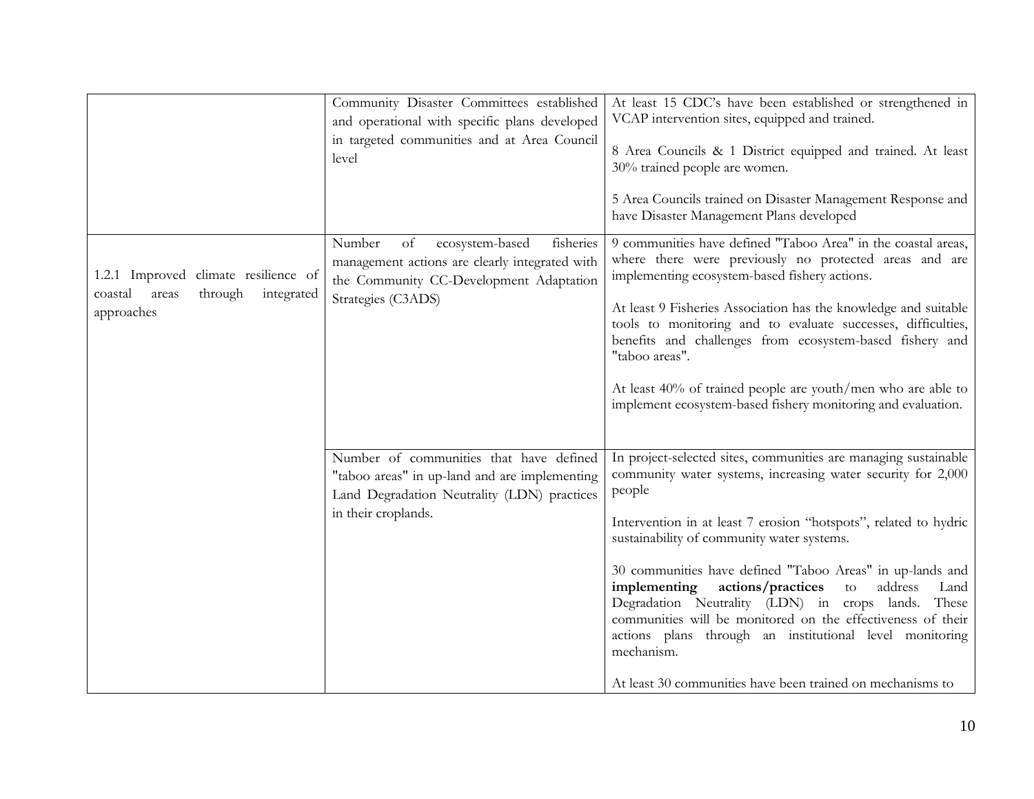|                                                                                                 | Community Disaster Committees established<br>and operational with specific plans developed<br>in targeted communities and at Area Council<br>level              | At least 15 CDC's have been established or strengthened in<br>VCAP intervention sites, equipped and trained.<br>8 Area Councils & 1 District equipped and trained. At least<br>30% trained people are women.<br>5 Area Councils trained on Disaster Management Response and<br>have Disaster Management Plans developed                                                                                                                                                                                                                                                                                                                               |
|-------------------------------------------------------------------------------------------------|-----------------------------------------------------------------------------------------------------------------------------------------------------------------|-------------------------------------------------------------------------------------------------------------------------------------------------------------------------------------------------------------------------------------------------------------------------------------------------------------------------------------------------------------------------------------------------------------------------------------------------------------------------------------------------------------------------------------------------------------------------------------------------------------------------------------------------------|
| 1.2.1 Improved climate resilience of<br>through<br>coastal<br>integrated<br>areas<br>approaches | Number<br>of<br>ecosystem-based<br>fisheries<br>management actions are clearly integrated with<br>the Community CC-Development Adaptation<br>Strategies (C3ADS) | 9 communities have defined "Taboo Area" in the coastal areas,<br>where there were previously no protected areas and are<br>implementing ecosystem-based fishery actions.<br>At least 9 Fisheries Association has the knowledge and suitable<br>tools to monitoring and to evaluate successes, difficulties,<br>benefits and challenges from ecosystem-based fishery and<br>"taboo areas".<br>At least 40% of trained people are youth/men who are able to<br>implement ecosystem-based fishery monitoring and evaluation.                                                                                                                             |
|                                                                                                 | Number of communities that have defined<br>"taboo areas" in up-land and are implementing<br>Land Degradation Neutrality (LDN) practices<br>in their croplands.  | In project-selected sites, communities are managing sustainable<br>community water systems, increasing water security for 2,000<br>people<br>Intervention in at least 7 erosion "hotspots", related to hydric<br>sustainability of community water systems.<br>30 communities have defined "Taboo Areas" in up-lands and<br>implementing<br>actions/practices<br>address<br>to<br>Land<br>Degradation Neutrality (LDN) in crops lands.<br>These<br>communities will be monitored on the effectiveness of their<br>actions plans through an institutional level monitoring<br>mechanism.<br>At least 30 communities have been trained on mechanisms to |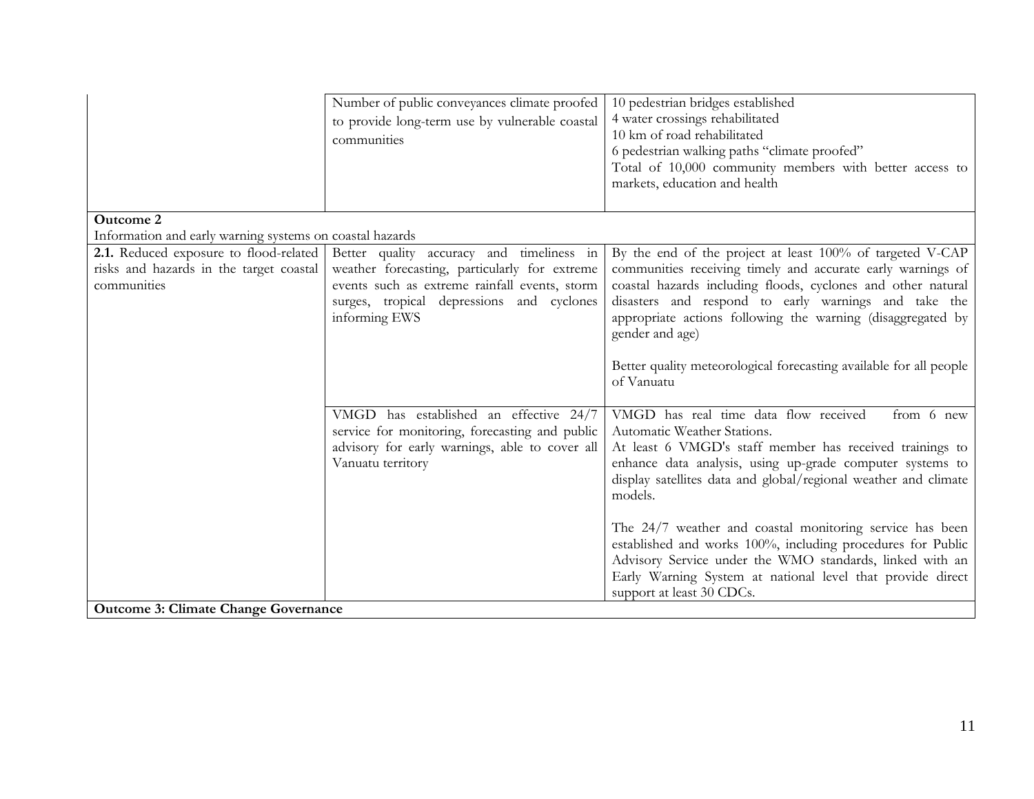|                                                                                                  | Number of public conveyances climate proofed<br>to provide long-term use by vulnerable coastal<br>communities                                                                                             | 10 pedestrian bridges established<br>4 water crossings rehabilitated<br>10 km of road rehabilitated<br>6 pedestrian walking paths "climate proofed"<br>Total of 10,000 community members with better access to<br>markets, education and health                                                                                    |
|--------------------------------------------------------------------------------------------------|-----------------------------------------------------------------------------------------------------------------------------------------------------------------------------------------------------------|------------------------------------------------------------------------------------------------------------------------------------------------------------------------------------------------------------------------------------------------------------------------------------------------------------------------------------|
| <b>Outcome 2</b>                                                                                 |                                                                                                                                                                                                           |                                                                                                                                                                                                                                                                                                                                    |
| Information and early warning systems on coastal hazards                                         |                                                                                                                                                                                                           |                                                                                                                                                                                                                                                                                                                                    |
| 2.1. Reduced exposure to flood-related<br>risks and hazards in the target coastal<br>communities | Better quality accuracy and timeliness in<br>weather forecasting, particularly for extreme<br>events such as extreme rainfall events, storm<br>surges, tropical depressions and cyclones<br>informing EWS | By the end of the project at least 100% of targeted V-CAP<br>communities receiving timely and accurate early warnings of<br>coastal hazards including floods, cyclones and other natural<br>disasters and respond to early warnings and take the<br>appropriate actions following the warning (disaggregated by<br>gender and age) |
|                                                                                                  |                                                                                                                                                                                                           | Better quality meteorological forecasting available for all people<br>of Vanuatu                                                                                                                                                                                                                                                   |
|                                                                                                  | VMGD has established an effective 24/7<br>service for monitoring, forecasting and public<br>advisory for early warnings, able to cover all<br>Vanuatu territory                                           | VMGD has real time data flow received<br>from 6 new<br>Automatic Weather Stations.<br>At least 6 VMGD's staff member has received trainings to<br>enhance data analysis, using up-grade computer systems to<br>display satellites data and global/regional weather and climate<br>models.                                          |
| <b>Outcome 3: Climate Change Governance</b>                                                      |                                                                                                                                                                                                           | The 24/7 weather and coastal monitoring service has been<br>established and works 100%, including procedures for Public<br>Advisory Service under the WMO standards, linked with an<br>Early Warning System at national level that provide direct<br>support at least 30 CDCs.                                                     |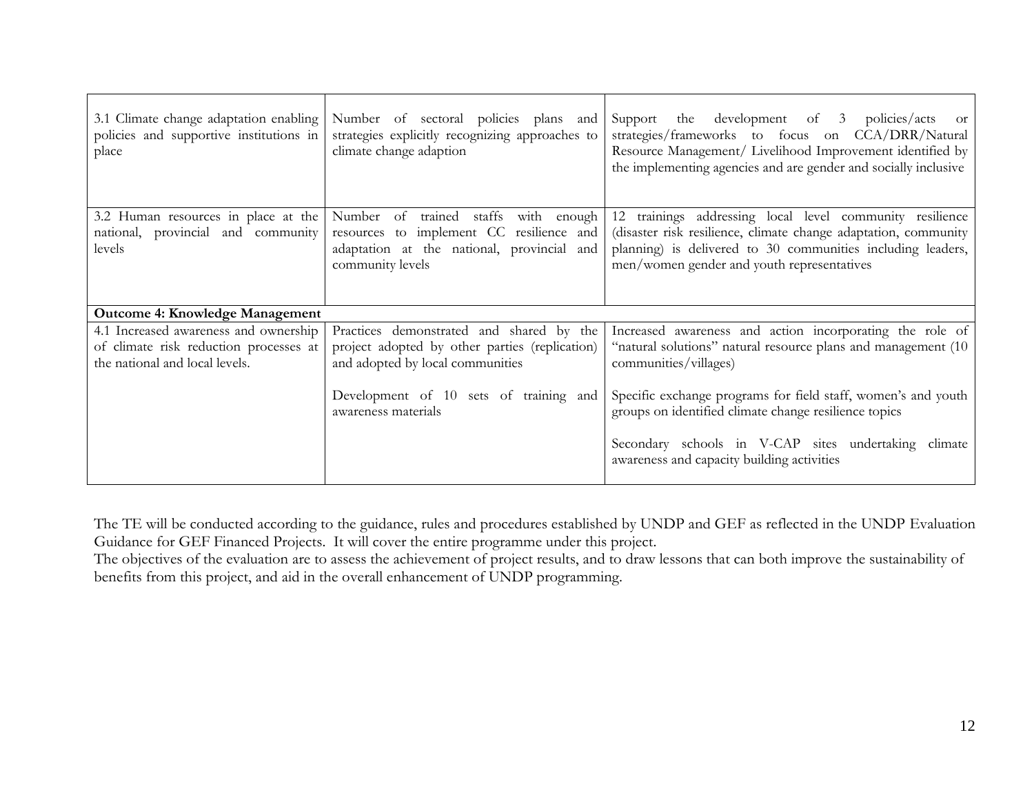| 3.1 Climate change adaptation enabling<br>policies and supportive institutions in<br>place | Number of sectoral policies plans and<br>strategies explicitly recognizing approaches to<br>climate change adaption | Support the development of 3 policies/acts<br><sub>or</sub><br>strategies/frameworks to focus on CCA/DRR/Natural<br>Resource Management/ Livelihood Improvement identified by<br>the implementing agencies and are gender and socially inclusive |
|--------------------------------------------------------------------------------------------|---------------------------------------------------------------------------------------------------------------------|--------------------------------------------------------------------------------------------------------------------------------------------------------------------------------------------------------------------------------------------------|
| 3.2 Human resources in place at the                                                        | Number<br>of trained<br>staffs<br>with enough                                                                       | 12 trainings addressing local level community resilience                                                                                                                                                                                         |
| national, provincial and community<br>levels                                               | resources to implement CC resilience and<br>adaptation at the national, provincial and                              | (disaster risk resilience, climate change adaptation, community<br>planning) is delivered to 30 communities including leaders,                                                                                                                   |
|                                                                                            | community levels                                                                                                    | men/women gender and youth representatives                                                                                                                                                                                                       |
|                                                                                            |                                                                                                                     |                                                                                                                                                                                                                                                  |
| <b>Outcome 4: Knowledge Management</b>                                                     |                                                                                                                     |                                                                                                                                                                                                                                                  |
| 4.1 Increased awareness and ownership                                                      | Practices demonstrated and shared by the                                                                            | Increased awareness and action incorporating the role of                                                                                                                                                                                         |
| of climate risk reduction processes at<br>the national and local levels.                   | project adopted by other parties (replication)<br>and adopted by local communities                                  | "natural solutions" natural resource plans and management (10)<br>communities/villages)                                                                                                                                                          |
|                                                                                            | Development of 10 sets of training and<br>awareness materials                                                       | Specific exchange programs for field staff, women's and youth<br>groups on identified climate change resilience topics                                                                                                                           |
|                                                                                            |                                                                                                                     | Secondary schools in V-CAP sites undertaking climate<br>awareness and capacity building activities                                                                                                                                               |

The TE will be conducted according to the guidance, rules and procedures established by UNDP and GEF as reflected in the UNDP Evaluation Guidance for GEF Financed Projects. It will cover the entire programme under this project.

The objectives of the evaluation are to assess the achievement of project results, and to draw lessons that can both improve the sustainability of benefits from this project, and aid in the overall enhancement of UNDP programming.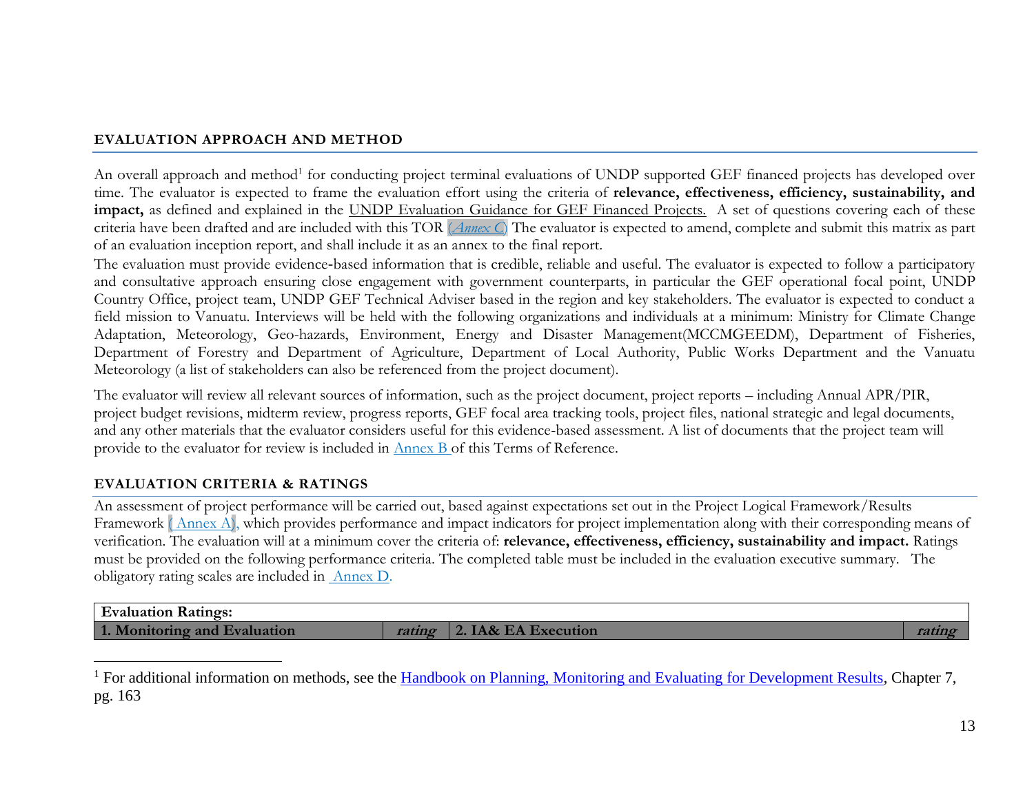### **EVALUATION APPROACH AND METHOD**

An overall approach and method<sup>1</sup> for conducting project terminal evaluations of UNDP supported GEF financed projects has developed over time. The evaluator is expected to frame the evaluation effort using the criteria of **relevance, effectiveness, efficiency, sustainability, and impact,** as defined and explained in the UNDP Evaluation Guidance for GEF Financed Projects. A set of questions covering each of these criteria have been drafted and are included with this TOR (*Annex C*) The evaluator is expected to amend, complete and submit this matrix as part of an evaluation inception report, and shall include it as an annex to the final report.

The evaluation must provide evidence-based information that is credible, reliable and useful. The evaluator is expected to follow a participatory and consultative approach ensuring close engagement with government counterparts, in particular the GEF operational focal point, UNDP Country Office, project team, UNDP GEF Technical Adviser based in the region and key stakeholders. The evaluator is expected to conduct a field mission to Vanuatu. Interviews will be held with the following organizations and individuals at a minimum: Ministry for Climate Change Adaptation, Meteorology, Geo-hazards, Environment, Energy and Disaster Management(MCCMGEEDM), Department of Fisheries, Department of Forestry and Department of Agriculture, Department of Local Authority, Public Works Department and the Vanuatu Meteorology (a list of stakeholders can also be referenced from the project document).

The evaluator will review all relevant sources of information, such as the project document, project reports – including Annual APR/PIR, project budget revisions, midterm review, progress reports, GEF focal area tracking tools, project files, national strategic and legal documents, and any other materials that the evaluator considers useful for this evidence-based assessment. A list of documents that the project team will provide to the evaluator for review is included in Annex B of this Terms of Reference.

# **EVALUATION CRITERIA & RATINGS**

 $\overline{a}$ 

An assessment of project performance will be carried out, based against expectations set out in the Project Logical Framework/Results Framework (Annex A), which provides performance and impact indicators for project implementation along with their corresponding means of verification. The evaluation will at a minimum cover the criteria of: **relevance, effectiveness, efficiency, sustainability and impact.** Ratings must be provided on the following performance criteria. The completed table must be included in the evaluation executive summary. The obligatory rating scales are included in [Annex D.](#page-36-0)

| <b>Ratings:</b><br><b>Evaluation</b> |                |  |
|--------------------------------------|----------------|--|
| and<br>tion<br><b>A</b> omitoring    | <b>PCULIOL</b> |  |

<sup>&</sup>lt;sup>1</sup> For additional information on methods, see the [Handbook on Planning, Monitoring and Evaluating for Development Results,](http://www.undp.org/evaluation/handbook) Chapter 7, pg. 163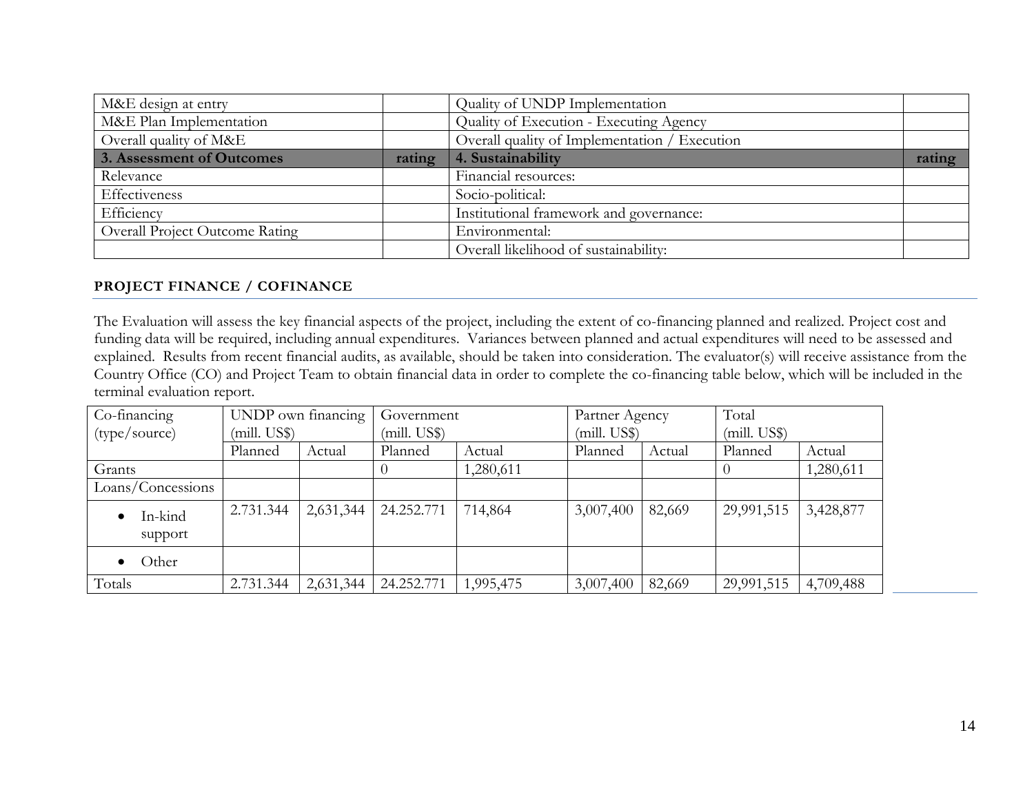| M&E design at entry                   |        | Quality of UNDP Implementation                |        |
|---------------------------------------|--------|-----------------------------------------------|--------|
| M&E Plan Implementation               |        | Quality of Execution - Executing Agency       |        |
| Overall quality of M&E                |        | Overall quality of Implementation / Execution |        |
| 3. Assessment of Outcomes             | rating | 4. Sustainability                             | rating |
| Relevance                             |        | Financial resources:                          |        |
| Effectiveness                         |        | Socio-political:                              |        |
| Efficiency                            |        | Institutional framework and governance:       |        |
| <b>Overall Project Outcome Rating</b> |        | Environmental:                                |        |
|                                       |        | Overall likelihood of sustainability:         |        |

### **PROJECT FINANCE / COFINANCE**

The Evaluation will assess the key financial aspects of the project, including the extent of co-financing planned and realized. Project cost and funding data will be required, including annual expenditures. Variances between planned and actual expenditures will need to be assessed and explained. Results from recent financial audits, as available, should be taken into consideration. The evaluator(s) will receive assistance from the Country Office (CO) and Project Team to obtain financial data in order to complete the co-financing table below, which will be included in the terminal evaluation report.

| Co-financing       |              | UNDP own financing | Government   |           | Partner Agency |              | Total      |              |  |
|--------------------|--------------|--------------------|--------------|-----------|----------------|--------------|------------|--------------|--|
| (type/source)      | (mill. US\$) |                    | (mill. US\$) |           |                | (mill. US\$) |            | (mill. US\$) |  |
|                    | Planned      | Actual             | Planned      | Actual    | Planned        | Actual       | Planned    | Actual       |  |
| Grants             |              |                    |              | 1,280,611 |                |              |            | 1,280,611    |  |
| Loans/Concessions  |              |                    |              |           |                |              |            |              |  |
| In-kind<br>support | 2.731.344    | 2,631,344          | 24.252.771   | 714,864   | 3,007,400      | 82,669       | 29,991,515 | 3,428,877    |  |
| Other              |              |                    |              |           |                |              |            |              |  |
| Totals             | 2.731.344    | 2,631,344          | 24.252.771   | 1,995,475 | 3,007,400      | 82,669       | 29,991,515 | 4,709,488    |  |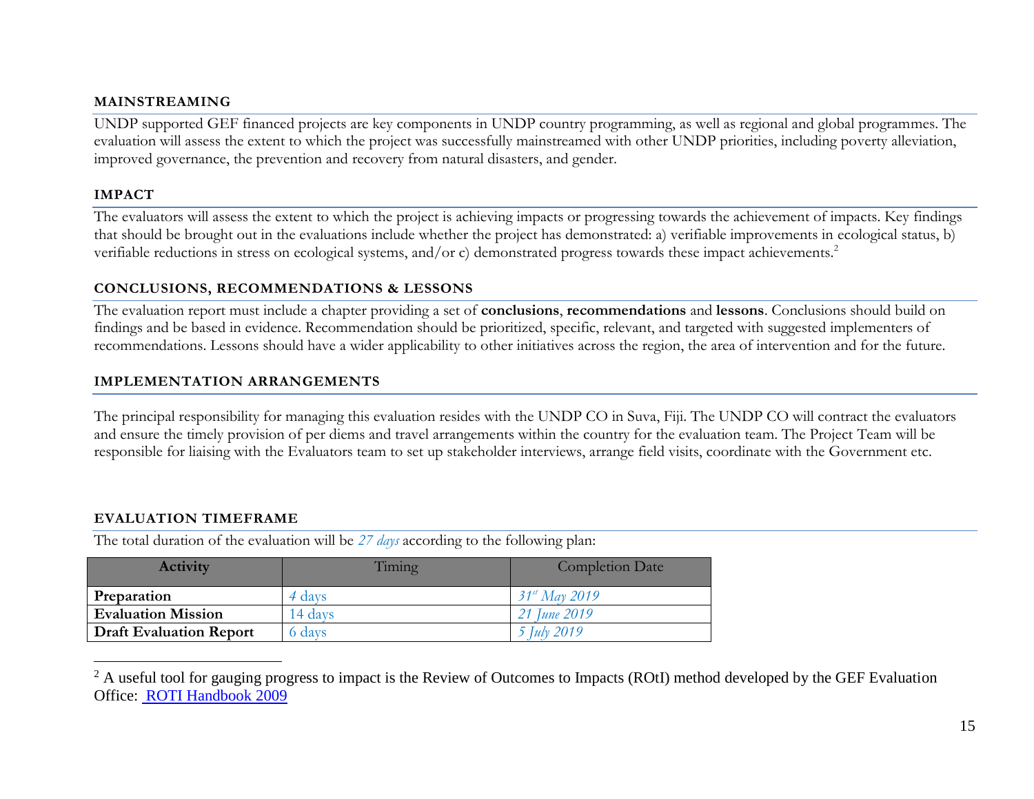#### **MAINSTREAMING**

UNDP supported GEF financed projects are key components in UNDP country programming, as well as regional and global programmes. The evaluation will assess the extent to which the project was successfully mainstreamed with other UNDP priorities, including poverty alleviation, improved governance, the prevention and recovery from natural disasters, and gender.

#### **IMPACT**

The evaluators will assess the extent to which the project is achieving impacts or progressing towards the achievement of impacts. Key findings that should be brought out in the evaluations include whether the project has demonstrated: a) verifiable improvements in ecological status, b) verifiable reductions in stress on ecological systems, and/or c) demonstrated progress towards these impact achievements.<sup>2</sup>

### **CONCLUSIONS, RECOMMENDATIONS & LESSONS**

The evaluation report must include a chapter providing a set of **conclusions**, **recommendations** and **lessons**. Conclusions should build on findings and be based in evidence. Recommendation should be prioritized, specific, relevant, and targeted with suggested implementers of recommendations. Lessons should have a wider applicability to other initiatives across the region, the area of intervention and for the future.

### **IMPLEMENTATION ARRANGEMENTS**

The principal responsibility for managing this evaluation resides with the UNDP CO in Suva, Fiji. The UNDP CO will contract the evaluators and ensure the timely provision of per diems and travel arrangements within the country for the evaluation team. The Project Team will be responsible for liaising with the Evaluators team to set up stakeholder interviews, arrange field visits, coordinate with the Government etc.

# **EVALUATION TIMEFRAME**

The total duration of the evaluation will be *27 days* according to the following plan:

| <b>Activity</b>                | Timing  | <b>Completion Date</b> |
|--------------------------------|---------|------------------------|
| Preparation                    | 4 days  | $31^{st}$ May 2019     |
| <b>Evaluation Mission</b>      | 14 days | 21 June 2019           |
| <b>Draft Evaluation Report</b> | 6 days  | 5 <i>July</i> 2019     |

 $\overline{a}$  $2$  A useful tool for gauging progress to impact is the Review of Outcomes to Impacts (ROtI) method developed by the GEF Evaluation Office: [ROTI Handbook 2009](http://www.thegef.org/gef/sites/thegef.org/files/documents/M2_ROtI%20Handbook.pdf)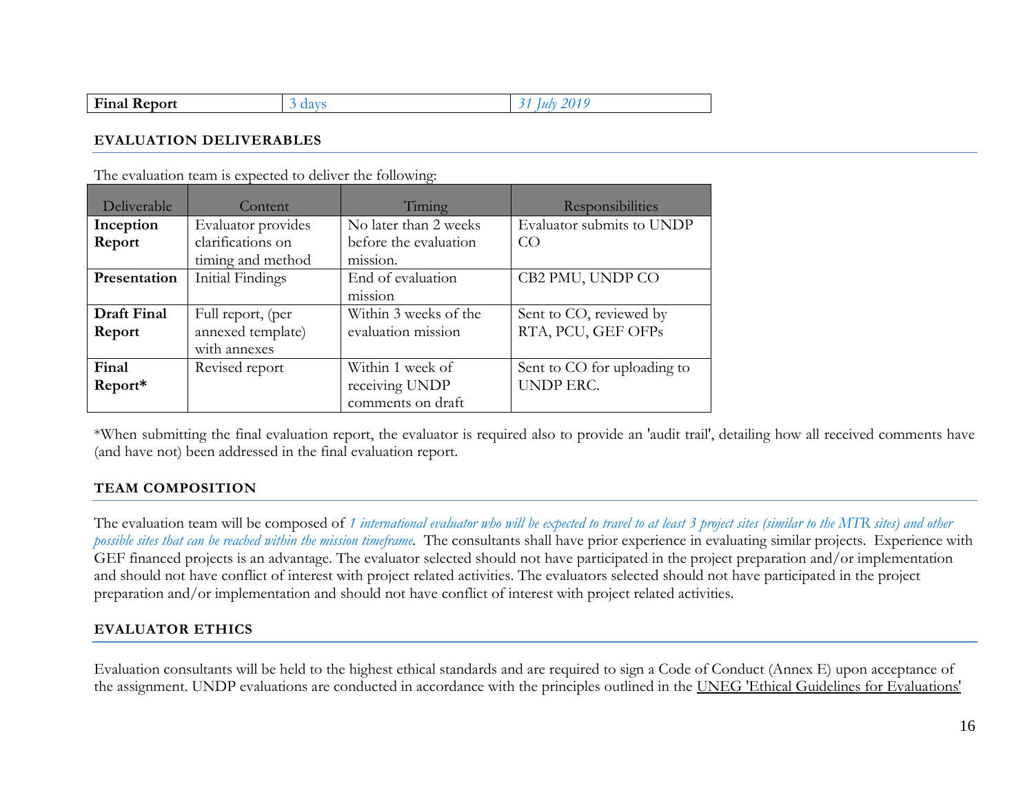| --<br><b>Final Report</b> |  |
|---------------------------|--|
|---------------------------|--|

#### **EVALUATION DELIVERABLES**

The evaluation team is expected to deliver the following:

| Deliverable  | Content            | Timing                         | <b>Responsibilities</b>     |
|--------------|--------------------|--------------------------------|-----------------------------|
| Inception    | Evaluator provides | No later than 2 weeks          | Evaluator submits to UNDP   |
| Report       | clarifications on  | before the evaluation          | CO                          |
|              | timing and method  | m <sub>1</sub> ss <sub>1</sub> |                             |
| Presentation | Initial Findings   | End of evaluation              | CB2 PMU, UNDP CO            |
|              |                    | m <sub>1</sub> ss <sub>1</sub> |                             |
| Draft Final  | Full report, (per  | Within 3 weeks of the          | Sent to CO, reviewed by     |
| Report       | annexed template)  | evaluation mission             | RTA, PCU, GEF OFPs          |
|              | with annexes       |                                |                             |
| Final        | Revised report     | Within 1 week of               | Sent to CO for uploading to |
| Report*      |                    | receiving UNDP                 | <b>UNDP ERC.</b>            |
|              |                    | comments on draft              |                             |

\*When submitting the final evaluation report, the evaluator is required also to provide an 'audit trail', detailing how all received comments have (and have not) been addressed in the final evaluation report.

### **TEAM COMPOSITION**

The evaluation team will be composed of *1 international evaluator who will be expected to travel to at least 3 project sites (similar to the MTR sites) and other possible sites that can be reached within the mission timeframe.* The consultants shall have prior experience in evaluating similar projects. Experience with GEF financed projects is an advantage. The evaluator selected should not have participated in the project preparation and/or implementation and should not have conflict of interest with project related activities. The evaluators selected should not have participated in the project preparation and/or implementation and should not have conflict of interest with project related activities.

# **EVALUATOR ETHICS**

Evaluation consultants will be held to the highest ethical standards and are required to sign a Code of Conduct (Annex E) upon acceptance of the assignment. UNDP evaluations are conducted in accordance with the principles outlined in the [UNEG 'Ethical Guidelines for Evaluations'](http://www.unevaluation.org/ethicalguidelines)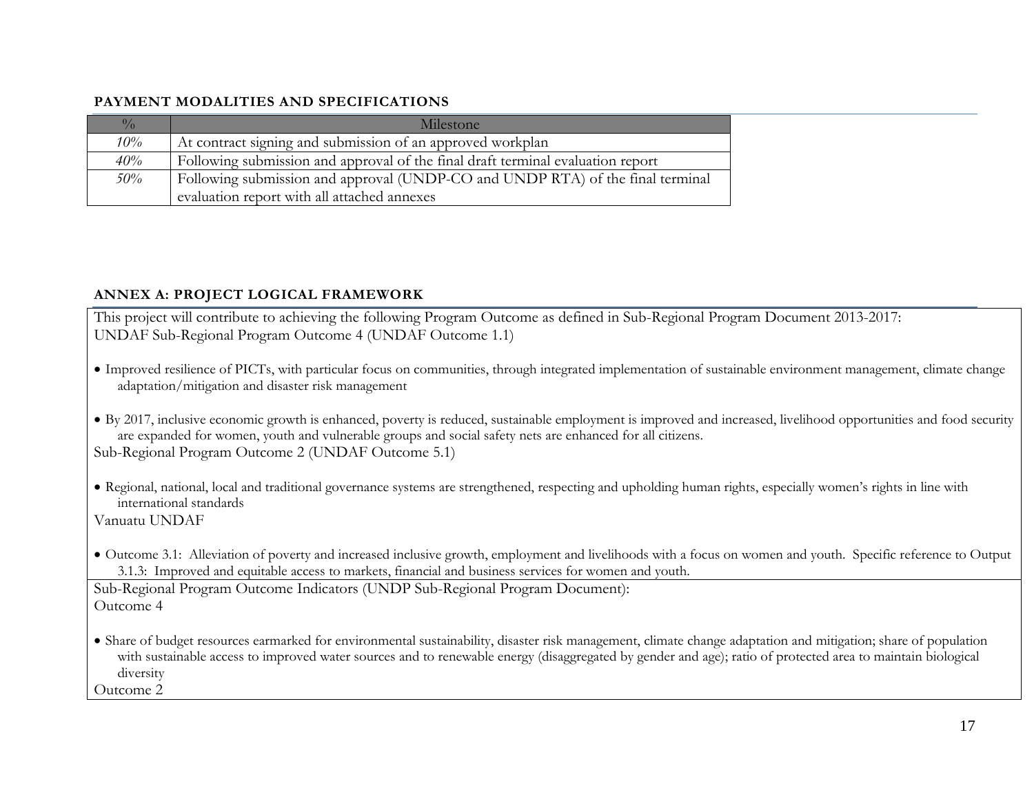### **PAYMENT MODALITIES AND SPECIFICATIONS**

| $\frac{0}{0}$ | Milestone                                                                       |
|---------------|---------------------------------------------------------------------------------|
| $10\%$        | At contract signing and submission of an approved workplan                      |
| $40\%$        | Following submission and approval of the final draft terminal evaluation report |
| $50\%$        | Following submission and approval (UNDP-CO and UNDP RTA) of the final terminal  |
|               | evaluation report with all attached annexes                                     |

### **ANNEX A: PROJECT LOGICAL FRAMEWORK**

This project will contribute to achieving the following Program Outcome as defined in Sub-Regional Program Document 2013-2017: UNDAF Sub-Regional Program Outcome 4 (UNDAF Outcome 1.1)

- Improved resilience of PICTs, with particular focus on communities, through integrated implementation of sustainable environment management, climate change adaptation/mitigation and disaster risk management
- By 2017, inclusive economic growth is enhanced, poverty is reduced, sustainable employment is improved and increased, livelihood opportunities and food security are expanded for women, youth and vulnerable groups and social safety nets are enhanced for all citizens. Sub-Regional Program Outcome 2 (UNDAF Outcome 5.1)
- Regional, national, local and traditional governance systems are strengthened, respecting and upholding human rights, especially women's rights in line with international standards

Vanuatu UNDAF

• Outcome 3.1: Alleviation of poverty and increased inclusive growth, employment and livelihoods with a focus on women and youth. Specific reference to Output 3.1.3: Improved and equitable access to markets, financial and business services for women and youth.

Sub-Regional Program Outcome Indicators (UNDP Sub-Regional Program Document): Outcome 4

• Share of budget resources earmarked for environmental sustainability, disaster risk management, climate change adaptation and mitigation; share of population with sustainable access to improved water sources and to renewable energy (disaggregated by gender and age); ratio of protected area to maintain biological diversity

Outcome 2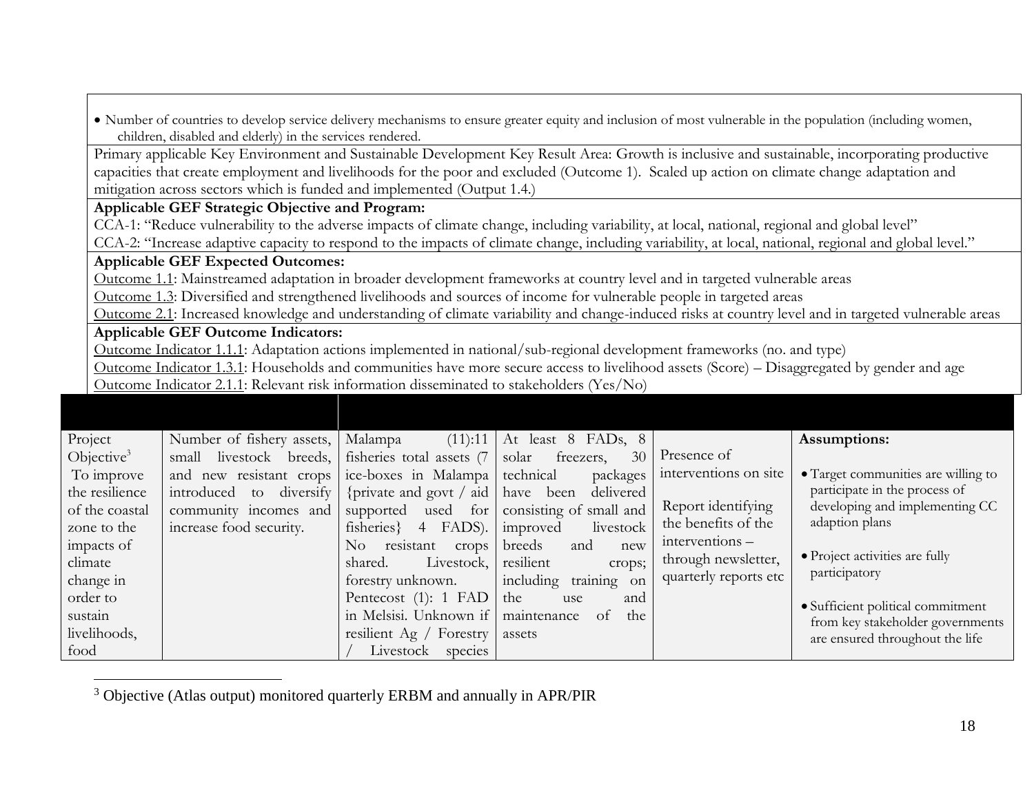|                                                                                                                                                        | children, disabled and elderly) in the services rendered.                                                                                     |                                                |                                               |                       | • Number of countries to develop service delivery mechanisms to ensure greater equity and inclusion of most vulnerable in the population (including women, |
|--------------------------------------------------------------------------------------------------------------------------------------------------------|-----------------------------------------------------------------------------------------------------------------------------------------------|------------------------------------------------|-----------------------------------------------|-----------------------|------------------------------------------------------------------------------------------------------------------------------------------------------------|
|                                                                                                                                                        | Primary applicable Key Environment and Sustainable Development Key Result Area: Growth is inclusive and sustainable, incorporating productive |                                                |                                               |                       |                                                                                                                                                            |
| capacities that create employment and livelihoods for the poor and excluded (Outcome 1). Scaled up action on climate change adaptation and             |                                                                                                                                               |                                                |                                               |                       |                                                                                                                                                            |
|                                                                                                                                                        | mitigation across sectors which is funded and implemented (Output 1.4.)                                                                       |                                                |                                               |                       |                                                                                                                                                            |
|                                                                                                                                                        | Applicable GEF Strategic Objective and Program:                                                                                               |                                                |                                               |                       |                                                                                                                                                            |
|                                                                                                                                                        | CCA-1: "Reduce vulnerability to the adverse impacts of climate change, including variability, at local, national, regional and global level"  |                                                |                                               |                       |                                                                                                                                                            |
| CCA-2: "Increase adaptive capacity to respond to the impacts of climate change, including variability, at local, national, regional and global level." |                                                                                                                                               |                                                |                                               |                       |                                                                                                                                                            |
|                                                                                                                                                        | <b>Applicable GEF Expected Outcomes:</b>                                                                                                      |                                                |                                               |                       |                                                                                                                                                            |
|                                                                                                                                                        | Outcome 1.1: Mainstreamed adaptation in broader development frameworks at country level and in targeted vulnerable areas                      |                                                |                                               |                       |                                                                                                                                                            |
|                                                                                                                                                        | Outcome 1.3: Diversified and strengthened livelihoods and sources of income for vulnerable people in targeted areas                           |                                                |                                               |                       |                                                                                                                                                            |
|                                                                                                                                                        |                                                                                                                                               |                                                |                                               |                       | Outcome 2.1: Increased knowledge and understanding of climate variability and change-induced risks at country level and in targeted vulnerable areas       |
|                                                                                                                                                        | <b>Applicable GEF Outcome Indicators:</b>                                                                                                     |                                                |                                               |                       |                                                                                                                                                            |
|                                                                                                                                                        | Outcome Indicator 1.1.1: Adaptation actions implemented in national/sub-regional development frameworks (no. and type)                        |                                                |                                               |                       |                                                                                                                                                            |
|                                                                                                                                                        | Outcome Indicator 1.3.1: Households and communities have more secure access to livelihood assets (Score) - Disaggregated by gender and age    |                                                |                                               |                       |                                                                                                                                                            |
|                                                                                                                                                        | Outcome Indicator 2.1.1: Relevant risk information disseminated to stakeholders (Yes/No)                                                      |                                                |                                               |                       |                                                                                                                                                            |
|                                                                                                                                                        |                                                                                                                                               |                                                |                                               |                       |                                                                                                                                                            |
|                                                                                                                                                        |                                                                                                                                               |                                                |                                               |                       |                                                                                                                                                            |
| Project                                                                                                                                                | Number of fishery assets,                                                                                                                     | (11):11<br>Malampa                             | At least 8 FADs, 8                            |                       | Assumptions:                                                                                                                                               |
| Objective <sup>3</sup>                                                                                                                                 | small livestock breeds,                                                                                                                       | fisheries total assets (7                      | freezers,<br>solar<br>30                      | Presence of           |                                                                                                                                                            |
| To improve                                                                                                                                             | and new resistant crops                                                                                                                       | ice-boxes in Malampa                           | technical<br>packages                         | interventions on site | • Target communities are willing to                                                                                                                        |
| the resilience                                                                                                                                         | introduced to diversify                                                                                                                       | {private and govt / aid                        | delivered<br>have been                        | Report identifying    | participate in the process of<br>developing and implementing CC                                                                                            |
| of the coastal                                                                                                                                         | community incomes and                                                                                                                         | supported<br>used for                          | consisting of small and                       | the benefits of the   | adaption plans                                                                                                                                             |
| zone to the                                                                                                                                            | increase food security.                                                                                                                       | fisheries } 4 FADS).                           | livestock<br>improved                         | interventions-        |                                                                                                                                                            |
| impacts of                                                                                                                                             |                                                                                                                                               | No resistant<br>crops                          | breeds<br>and<br>new                          | through newsletter,   | • Project activities are fully                                                                                                                             |
| climate                                                                                                                                                |                                                                                                                                               | shared.<br>Livestock,                          | resilient<br>crops;                           | quarterly reports etc | participatory                                                                                                                                              |
| change in                                                                                                                                              |                                                                                                                                               | forestry unknown.                              | including training on                         |                       |                                                                                                                                                            |
| order to<br>sustain                                                                                                                                    |                                                                                                                                               | Pentecost (1): 1 FAD<br>in Melsisi. Unknown if | the<br>and<br>use<br>maintenance<br>of<br>the |                       | · Sufficient political commitment                                                                                                                          |
| livelihoods,                                                                                                                                           |                                                                                                                                               |                                                |                                               |                       | from key stakeholder governments                                                                                                                           |
|                                                                                                                                                        |                                                                                                                                               | resilient Ag / Forestry                        | assets                                        |                       | are ensured throughout the life                                                                                                                            |
| food                                                                                                                                                   |                                                                                                                                               | Livestock species                              |                                               |                       |                                                                                                                                                            |

 $3$  Objective (Atlas output) monitored quarterly ERBM and annually in APR/PIR

 $\overline{a}$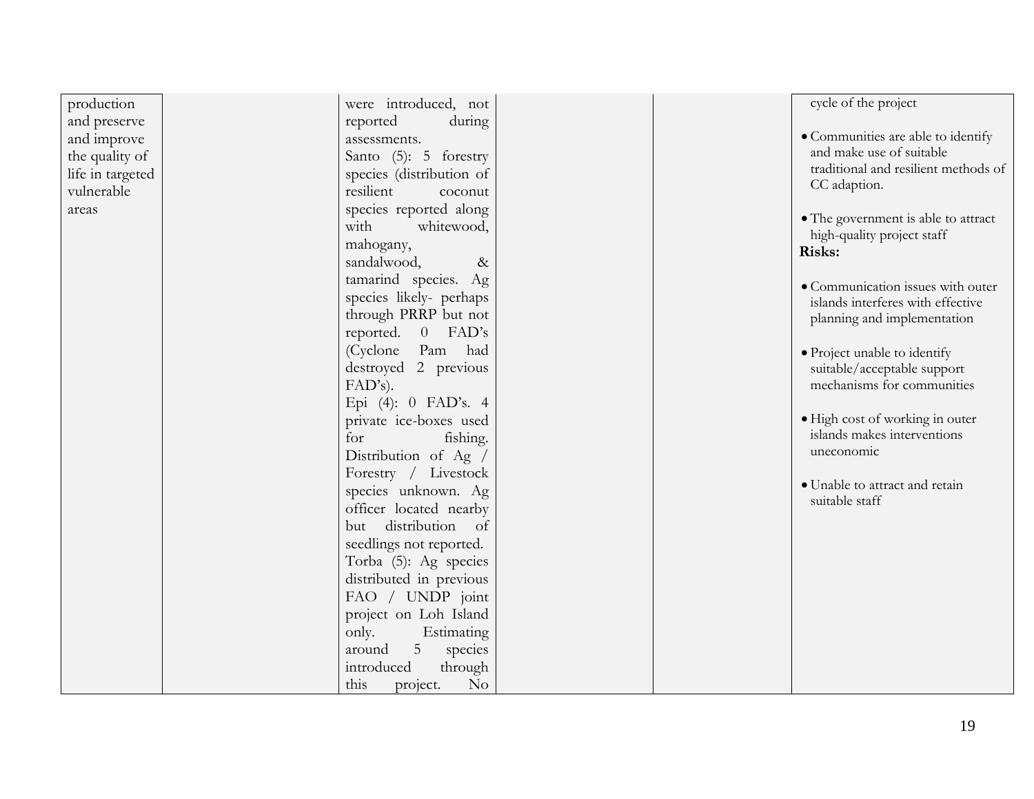| production       | were introduced, not                | cycle of the project                             |
|------------------|-------------------------------------|--------------------------------------------------|
| and preserve     | reported<br>during                  |                                                  |
| and improve      | assessments.                        | • Communities are able to identify               |
| the quality of   | Santo (5): 5 forestry               | and make use of suitable                         |
| life in targeted | species (distribution of            | traditional and resilient methods of             |
| vulnerable       | resilient<br>coconut                | CC adaption.                                     |
| areas            | species reported along              |                                                  |
|                  | with<br>whitewood,                  | • The government is able to attract              |
|                  | mahogany,                           | high-quality project staff                       |
|                  | sandalwood,<br>$\&$                 | Risks:                                           |
|                  | tamarind species. Ag                |                                                  |
|                  | species likely- perhaps             | · Communication issues with outer                |
|                  | through PRRP but not                | islands interferes with effective                |
|                  |                                     | planning and implementation                      |
|                  | reported. 0 FAD's                   |                                                  |
|                  | (Cyclone<br>Pam had                 | · Project unable to identify                     |
|                  | destroyed 2 previous                | suitable/acceptable support                      |
|                  | $FAD's$ ).                          | mechanisms for communities                       |
|                  | Epi (4): 0 FAD's. 4                 |                                                  |
|                  | private ice-boxes used              | · High cost of working in outer                  |
|                  | for<br>fishing.                     | islands makes interventions                      |
|                  | Distribution of Ag /                | uneconomic                                       |
|                  | Forestry / Livestock                |                                                  |
|                  | species unknown. Ag                 | · Unable to attract and retain<br>suitable staff |
|                  | officer located nearby              |                                                  |
|                  | distribution of<br>but              |                                                  |
|                  | seedlings not reported.             |                                                  |
|                  | Torba (5): Ag species               |                                                  |
|                  | distributed in previous             |                                                  |
|                  | FAO / UNDP joint                    |                                                  |
|                  | project on Loh Island               |                                                  |
|                  | only.<br>Estimating                 |                                                  |
|                  | 5 <sup>5</sup><br>around<br>species |                                                  |
|                  | introduced<br>through               |                                                  |
|                  | this<br>No<br>project.              |                                                  |
|                  |                                     |                                                  |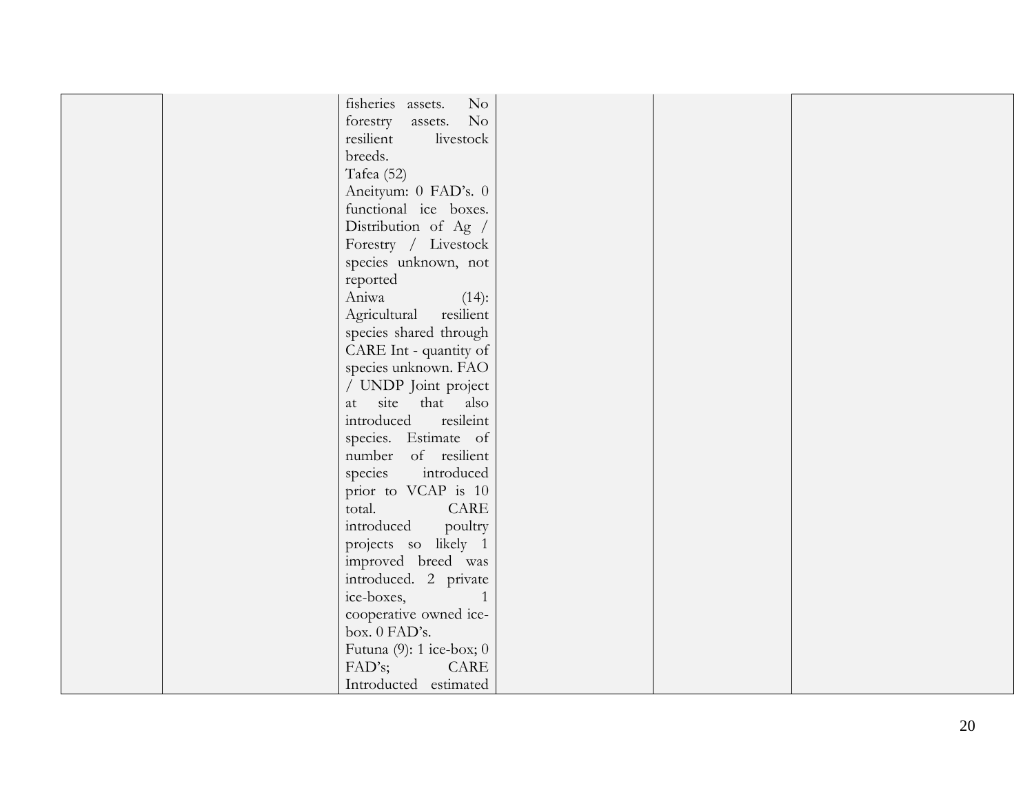| fisheries assets.<br>$\rm No$ |  |  |
|-------------------------------|--|--|
| forestry assets. No           |  |  |
| resilient<br>livestock        |  |  |
| breeds.                       |  |  |
| Tafea (52)                    |  |  |
| Aneityum: 0 FAD's. 0          |  |  |
| functional ice boxes.         |  |  |
| Distribution of Ag /          |  |  |
| Forestry / Livestock          |  |  |
| species unknown, not          |  |  |
| reported                      |  |  |
| Aniwa<br>$(14)$ :             |  |  |
| Agricultural resilient        |  |  |
| species shared through        |  |  |
| CARE Int - quantity of        |  |  |
| species unknown. FAO          |  |  |
| / UNDP Joint project          |  |  |
| at site that also             |  |  |
| resileint<br>introduced       |  |  |
| species. Estimate of          |  |  |
| number of resilient           |  |  |
| species introduced            |  |  |
| prior to VCAP is 10           |  |  |
| total.<br>CARE                |  |  |
| introduced poultry            |  |  |
| projects so likely 1          |  |  |
| improved breed was            |  |  |
| introduced. 2 private         |  |  |
| ice-boxes,<br>1               |  |  |
| cooperative owned ice-        |  |  |
| box. 0 FAD's.                 |  |  |
| Futuna $(9)$ : 1 ice-box; 0   |  |  |
| FAD's;<br>CARE                |  |  |
| Introducted estimated         |  |  |
|                               |  |  |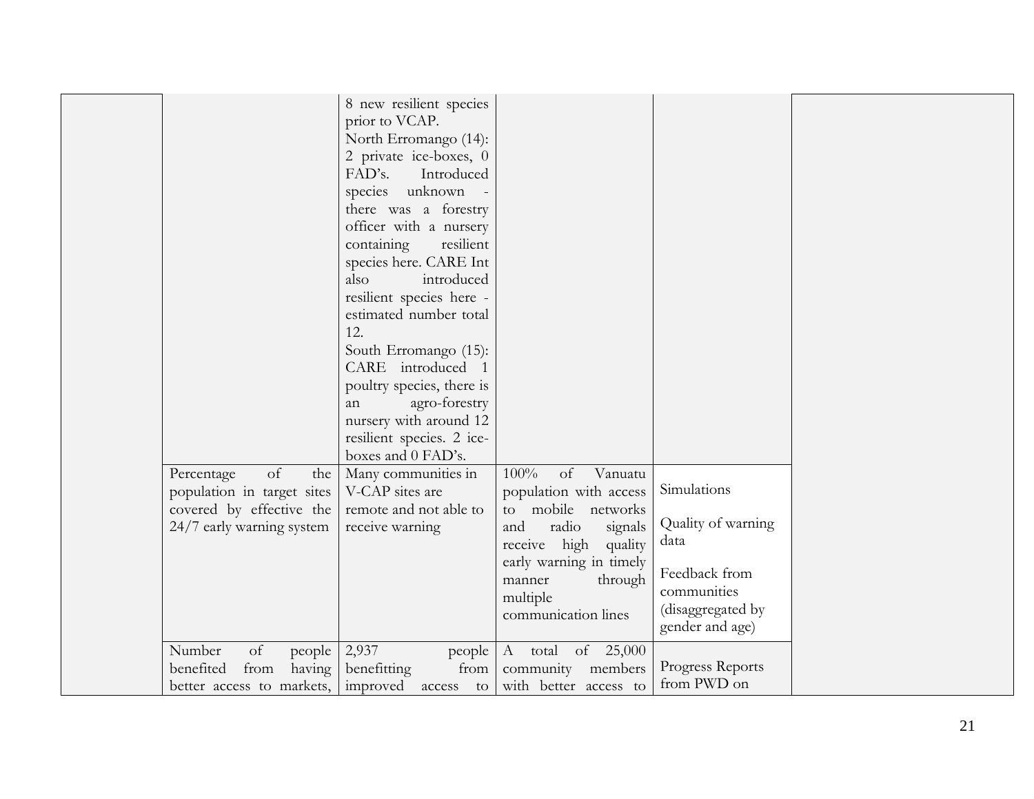| estimated number total<br>12.<br>South Erromango (15):<br>CARE introduced 1<br>poultry species, there is<br>agro-forestry<br>an<br>nursery with around 12<br>resilient species. 2 ice-<br>boxes and 0 FAD's.<br>100%<br>Many communities in<br>of Vanuatu<br>Simulations<br>V-CAP sites are<br>population with access<br>remote and not able to<br>to mobile networks<br>Quality of warning<br>radio<br>and<br>signals<br>receive warning<br>data<br>receive high<br>quality<br>early warning in timely<br>Feedback from<br>through<br>manner<br>communities<br>multiple<br>(disaggregated by<br>communication lines<br>gender and age)<br>2,937<br>of 25,000<br>A total<br>people<br>Progress Reports |
|--------------------------------------------------------------------------------------------------------------------------------------------------------------------------------------------------------------------------------------------------------------------------------------------------------------------------------------------------------------------------------------------------------------------------------------------------------------------------------------------------------------------------------------------------------------------------------------------------------------------------------------------------------------------------------------------------------|
|--------------------------------------------------------------------------------------------------------------------------------------------------------------------------------------------------------------------------------------------------------------------------------------------------------------------------------------------------------------------------------------------------------------------------------------------------------------------------------------------------------------------------------------------------------------------------------------------------------------------------------------------------------------------------------------------------------|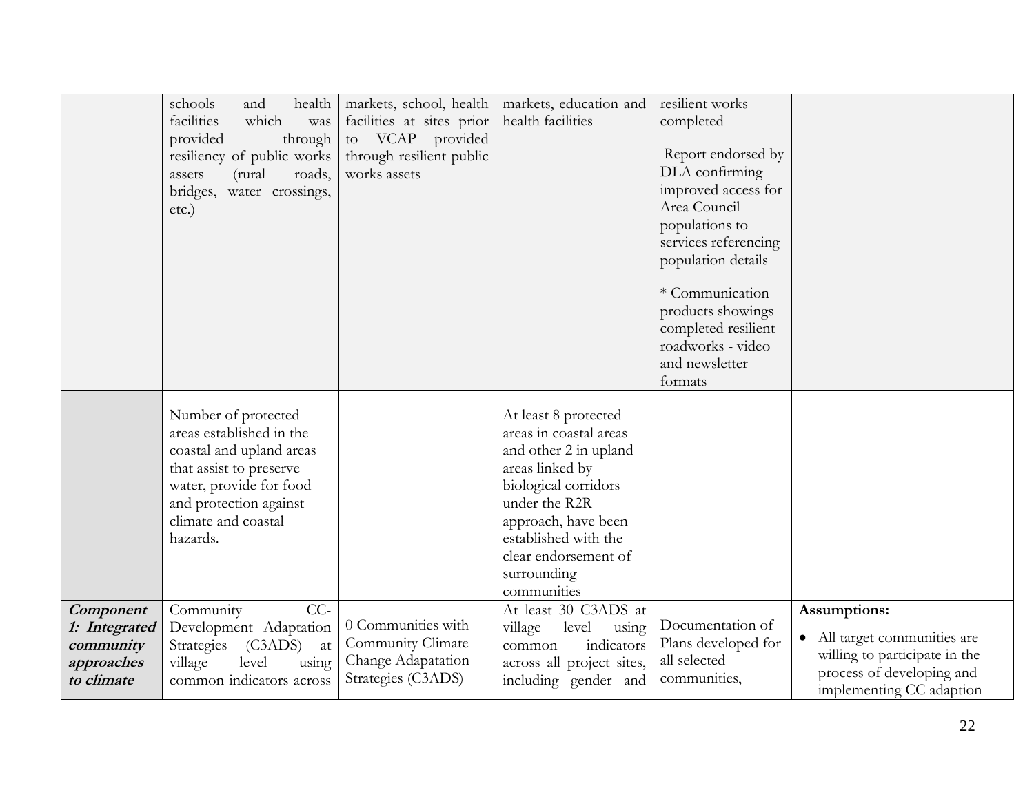|                                                                     | schools<br>health<br>and<br>facilities<br>which<br>was<br>provided<br>through<br>resiliency of public works<br>(rural<br>roads,<br>assets<br>bridges,<br>water crossings,<br>etc.)             | markets, school, health<br>facilities at sites prior<br>to VCAP provided<br>through resilient public<br>works assets | markets, education and<br>health facilities                                                                                                                                                                                              | resilient works<br>completed<br>Report endorsed by<br>DLA confirming<br>improved access for<br>Area Council<br>populations to<br>services referencing |                                                                                                                                        |
|---------------------------------------------------------------------|------------------------------------------------------------------------------------------------------------------------------------------------------------------------------------------------|----------------------------------------------------------------------------------------------------------------------|------------------------------------------------------------------------------------------------------------------------------------------------------------------------------------------------------------------------------------------|-------------------------------------------------------------------------------------------------------------------------------------------------------|----------------------------------------------------------------------------------------------------------------------------------------|
|                                                                     |                                                                                                                                                                                                |                                                                                                                      |                                                                                                                                                                                                                                          | population details<br>* Communication<br>products showings<br>completed resilient<br>roadworks - video<br>and newsletter<br>formats                   |                                                                                                                                        |
|                                                                     | Number of protected<br>areas established in the<br>coastal and upland areas<br>that assist to preserve<br>water, provide for food<br>and protection against<br>climate and coastal<br>hazards. |                                                                                                                      | At least 8 protected<br>areas in coastal areas<br>and other 2 in upland<br>areas linked by<br>biological corridors<br>under the R2R<br>approach, have been<br>established with the<br>clear endorsement of<br>surrounding<br>communities |                                                                                                                                                       |                                                                                                                                        |
| Component<br>1: Integrated<br>community<br>approaches<br>to climate | $CC-$<br>Community<br>Development Adaptation<br>(C3ADS)<br>Strategies<br>at<br>level<br>village<br>using<br>common indicators across                                                           | 0 Communities with<br>Community Climate<br>Change Adapatation<br>Strategies (C3ADS)                                  | At least 30 C3ADS at<br>village<br>level<br>using<br>indicators<br>common<br>across all project sites,<br>including gender and                                                                                                           | Documentation of<br>Plans developed for<br>all selected<br>communities,                                                                               | Assumptions:<br>• All target communities are<br>willing to participate in the<br>process of developing and<br>implementing CC adaption |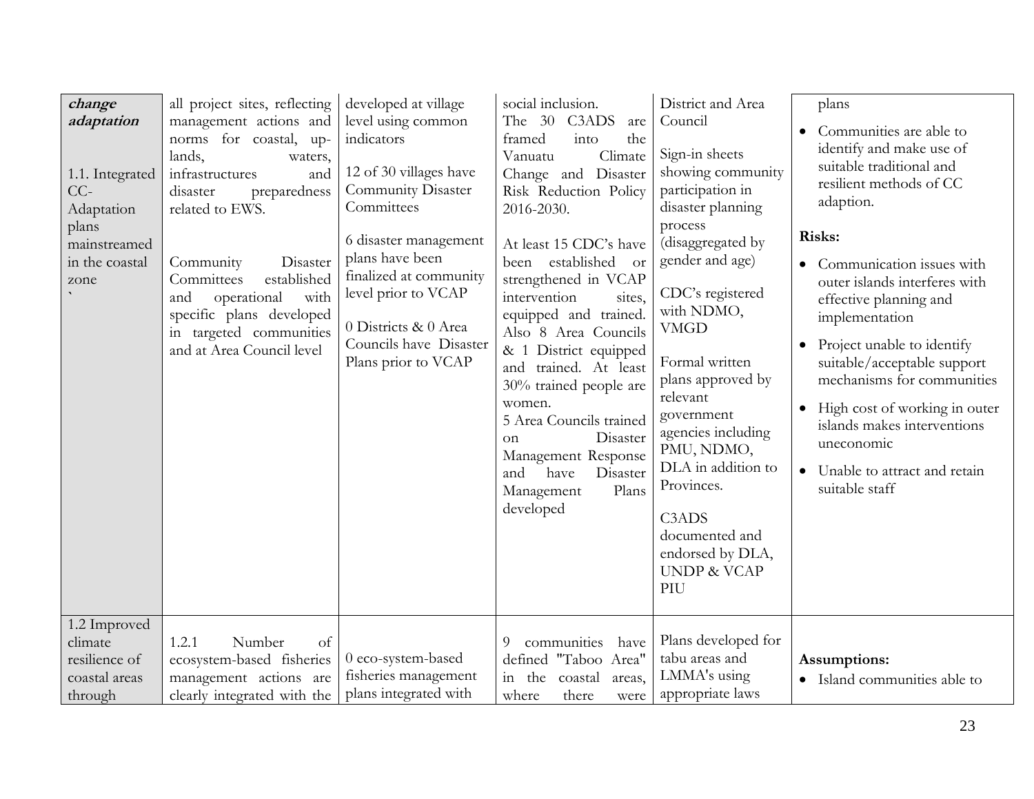| change<br>adaptation<br>1.1. Integrated<br>$CC-$<br>Adaptation<br>plans<br>mainstreamed<br>in the coastal<br>zone | all project sites, reflecting<br>management actions and<br>norms for coastal, up-<br>lands,<br>waters,<br>infrastructures<br>and<br>disaster<br>preparedness<br>related to EWS.<br>Disaster<br>Community<br>established<br>Committees<br>operational<br>with<br>and<br>specific plans developed<br>in targeted communities<br>and at Area Council level | developed at village<br>level using common<br>indicators<br>12 of 30 villages have<br><b>Community Disaster</b><br>Committees<br>6 disaster management<br>plans have been<br>finalized at community<br>level prior to VCAP<br>0 Districts & 0 Area<br>Councils have Disaster<br>Plans prior to VCAP | social inclusion.<br>The 30 C3ADS<br>are<br>into<br>the<br>framed<br>Climate<br>Vanuatu<br>Change and Disaster<br>Risk Reduction Policy<br>2016-2030.<br>At least 15 CDC's have<br>been established<br><b>or</b><br>strengthened in VCAP<br>intervention<br>sites,<br>equipped and trained.<br>Also 8 Area Councils<br>& 1 District equipped<br>and trained. At least<br>30% trained people are<br>women.<br>5 Area Councils trained<br>Disaster<br><sub>on</sub><br>Management Response<br>and<br>have<br>Disaster<br>Management<br>Plans<br>developed | District and Area<br>Council<br>Sign-in sheets<br>showing community<br>participation in<br>disaster planning<br>process<br>(disaggregated by<br>gender and age)<br>CDC's registered<br>with NDMO,<br><b>VMGD</b><br>Formal written<br>plans approved by<br>relevant<br>government<br>agencies including<br>PMU, NDMO,<br>DLA in addition to<br>Provinces.<br>C <sub>3</sub> AD <sub>S</sub><br>documented and<br>endorsed by DLA,<br><b>UNDP &amp; VCAP</b><br>PIU | plans<br>Communities are able to<br>identify and make use of<br>suitable traditional and<br>resilient methods of CC<br>adaption.<br>Risks:<br>Communication issues with<br>$\bullet$<br>outer islands interferes with<br>effective planning and<br>implementation<br>Project unable to identify<br>suitable/acceptable support<br>mechanisms for communities<br>High cost of working in outer<br>$\bullet$<br>islands makes interventions<br>uneconomic<br>Unable to attract and retain<br>$\bullet$<br>suitable staff |
|-------------------------------------------------------------------------------------------------------------------|---------------------------------------------------------------------------------------------------------------------------------------------------------------------------------------------------------------------------------------------------------------------------------------------------------------------------------------------------------|-----------------------------------------------------------------------------------------------------------------------------------------------------------------------------------------------------------------------------------------------------------------------------------------------------|---------------------------------------------------------------------------------------------------------------------------------------------------------------------------------------------------------------------------------------------------------------------------------------------------------------------------------------------------------------------------------------------------------------------------------------------------------------------------------------------------------------------------------------------------------|--------------------------------------------------------------------------------------------------------------------------------------------------------------------------------------------------------------------------------------------------------------------------------------------------------------------------------------------------------------------------------------------------------------------------------------------------------------------|------------------------------------------------------------------------------------------------------------------------------------------------------------------------------------------------------------------------------------------------------------------------------------------------------------------------------------------------------------------------------------------------------------------------------------------------------------------------------------------------------------------------|
| 1.2 Improved<br>climate<br>resilience of<br>coastal areas<br>through                                              | 1.2.1<br>Number<br>of<br>ecosystem-based fisheries<br>management actions are<br>clearly integrated with the                                                                                                                                                                                                                                             | 0 eco-system-based<br>fisheries management<br>plans integrated with                                                                                                                                                                                                                                 | communities<br>have<br>9<br>defined "Taboo Area"<br>in the<br>coastal<br>areas,<br>where<br>there<br>were                                                                                                                                                                                                                                                                                                                                                                                                                                               | Plans developed for<br>tabu areas and<br>LMMA's using<br>appropriate laws                                                                                                                                                                                                                                                                                                                                                                                          | Assumptions:<br>• Island communities able to                                                                                                                                                                                                                                                                                                                                                                                                                                                                           |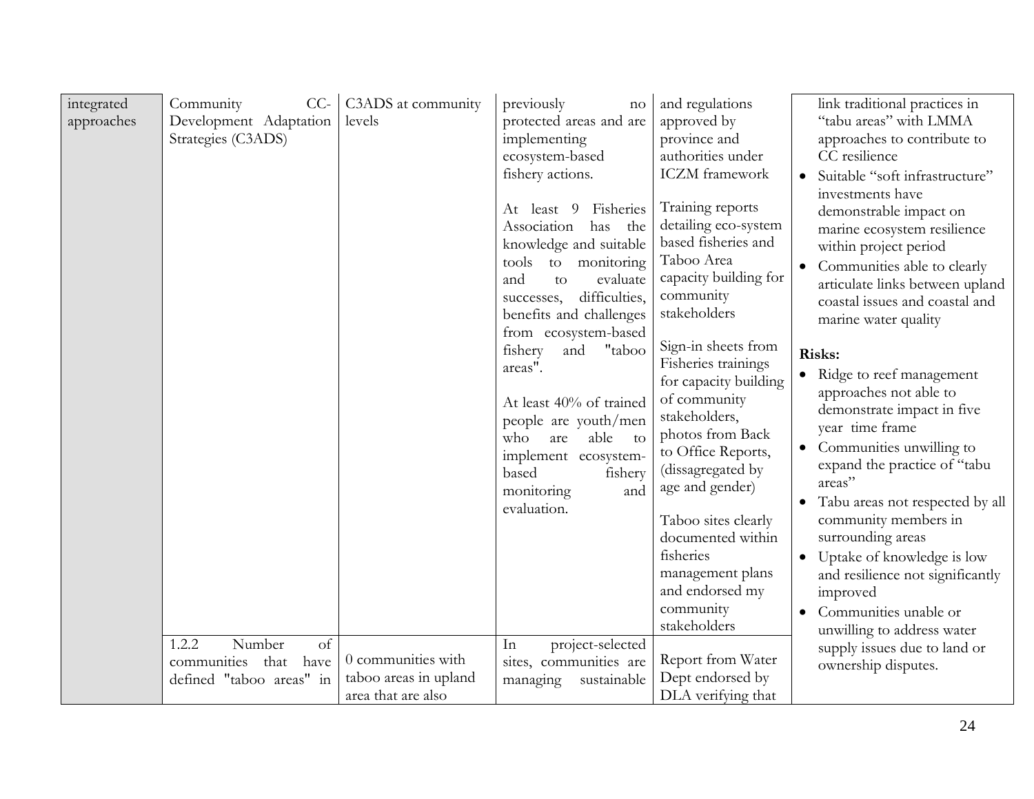| integrated<br>approaches | Community<br>$CC-$<br>Development Adaptation<br>Strategies (C3ADS)               | C3ADS at community<br>levels                                      | previously<br>no<br>protected areas and are<br>implementing<br>ecosystem-based<br>fishery actions.<br>Fisheries<br>At least 9<br>Association<br>has<br>the<br>knowledge and suitable<br>tools to monitoring<br>and<br>evaluate<br>to<br>difficulties,<br>successes,<br>benefits and challenges<br>from ecosystem-based<br>"taboo<br>fishery<br>and<br>areas".<br>At least 40% of trained<br>people are youth/men<br>who<br>able<br>are<br>to<br>implement ecosystem-<br>based<br>fishery<br>monitoring<br>and<br>evaluation. | and regulations<br>approved by<br>province and<br>authorities under<br><b>ICZM</b> framework<br>Training reports<br>detailing eco-system<br>based fisheries and<br>Taboo Area<br>capacity building for<br>community<br>stakeholders<br>Sign-in sheets from<br>Fisheries trainings<br>for capacity building<br>of community<br>stakeholders,<br>photos from Back<br>to Office Reports,<br>(dissagregated by<br>age and gender)<br>Taboo sites clearly<br>documented within<br>fisheries<br>management plans<br>and endorsed my<br>community<br>stakeholders | link traditional practices in<br>"tabu areas" with LMMA<br>approaches to contribute to<br>CC resilience<br>Suitable "soft infrastructure"<br>$\bullet$<br>investments have<br>demonstrable impact on<br>marine ecosystem resilience<br>within project period<br>Communities able to clearly<br>$\bullet$<br>articulate links between upland<br>coastal issues and coastal and<br>marine water quality<br>Risks:<br>Ridge to reef management<br>$\bullet$<br>approaches not able to<br>demonstrate impact in five<br>year time frame<br>Communities unwilling to<br>$\bullet$<br>expand the practice of "tabu<br>areas"<br>Tabu areas not respected by all<br>community members in<br>surrounding areas<br>Uptake of knowledge is low<br>$\bullet$<br>and resilience not significantly<br>improved<br>Communities unable or<br>$\bullet$ |
|--------------------------|----------------------------------------------------------------------------------|-------------------------------------------------------------------|------------------------------------------------------------------------------------------------------------------------------------------------------------------------------------------------------------------------------------------------------------------------------------------------------------------------------------------------------------------------------------------------------------------------------------------------------------------------------------------------------------------------------|------------------------------------------------------------------------------------------------------------------------------------------------------------------------------------------------------------------------------------------------------------------------------------------------------------------------------------------------------------------------------------------------------------------------------------------------------------------------------------------------------------------------------------------------------------|-----------------------------------------------------------------------------------------------------------------------------------------------------------------------------------------------------------------------------------------------------------------------------------------------------------------------------------------------------------------------------------------------------------------------------------------------------------------------------------------------------------------------------------------------------------------------------------------------------------------------------------------------------------------------------------------------------------------------------------------------------------------------------------------------------------------------------------------|
|                          | 1.2.2<br>Number<br>of<br>communities<br>that<br>have<br>defined "taboo areas" in | 0 communities with<br>taboo areas in upland<br>area that are also | project-selected<br>In<br>sites, communities are<br>managing<br>sustainable                                                                                                                                                                                                                                                                                                                                                                                                                                                  | Report from Water<br>Dept endorsed by<br>DLA verifying that                                                                                                                                                                                                                                                                                                                                                                                                                                                                                                | unwilling to address water<br>supply issues due to land or<br>ownership disputes.                                                                                                                                                                                                                                                                                                                                                                                                                                                                                                                                                                                                                                                                                                                                                       |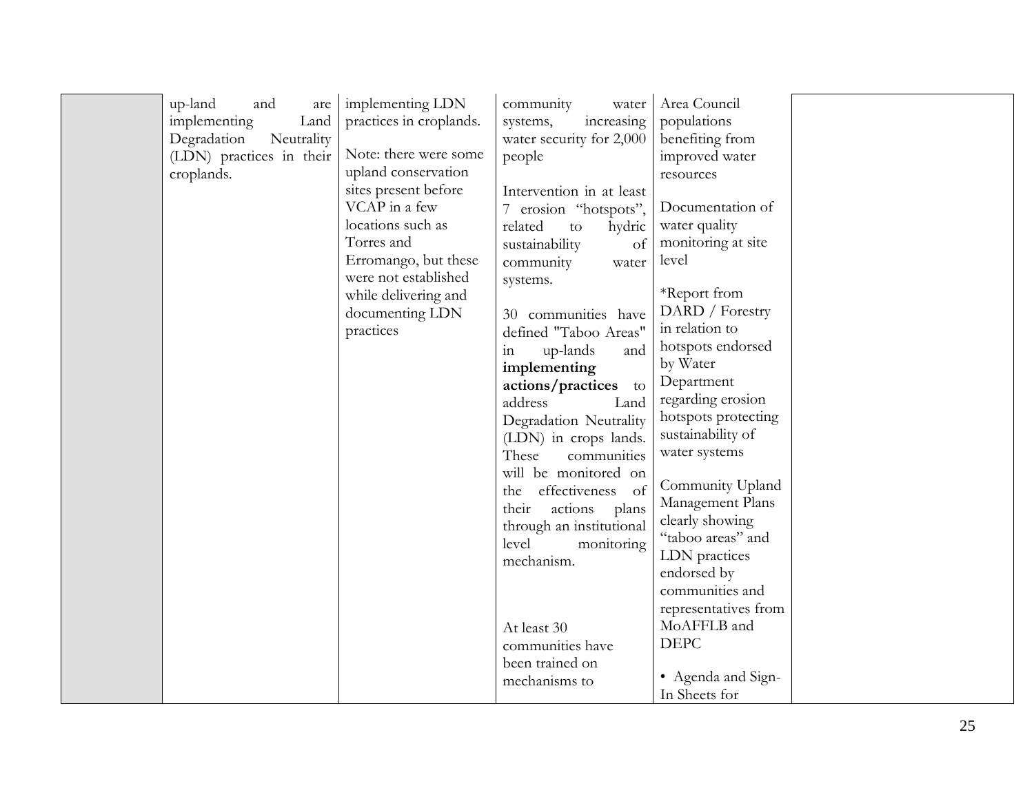| implementing<br>Land<br>Degradation<br>Neutrality<br>(LDN) practices in their<br>croplands. | practices in croplands.<br>Note: there were some<br>upland conservation<br>sites present before<br>VCAP in a few<br>7<br>locations such as<br>Torres and<br>Erromango, but these<br>were not established<br>while delivering and<br>documenting LDN<br>practices<br>in | increasing<br>systems,<br>water security for 2,000<br>people<br>Intervention in at least<br>erosion "hotspots",<br>related<br>hydric<br>to<br>sustainability<br>of<br>community<br>water<br>systems.<br>30 communities have<br>defined "Taboo Areas"<br>up-lands<br>and<br>implementing<br>actions/practices to<br>address<br>Land<br>Degradation Neutrality<br>(LDN) in crops lands.<br>These<br>communities<br>will be monitored on<br>effectiveness of<br>the<br>actions<br>their<br>plans<br>through an institutional<br>level<br>monitoring<br>mechanism.<br>At least 30<br>communities have<br>been trained on | populations<br>benefiting from<br>improved water<br>resources<br>Documentation of<br>water quality<br>monitoring at site<br>level<br>*Report from<br>DARD / Forestry<br>in relation to<br>hotspots endorsed<br>by Water<br>Department<br>regarding erosion<br>hotspots protecting<br>sustainability of<br>water systems<br>Community Upland<br>Management Plans<br>clearly showing<br>"taboo areas" and<br>LDN practices<br>endorsed by<br>communities and<br>representatives from<br>MoAFFLB and<br><b>DEPC</b> |  |
|---------------------------------------------------------------------------------------------|------------------------------------------------------------------------------------------------------------------------------------------------------------------------------------------------------------------------------------------------------------------------|----------------------------------------------------------------------------------------------------------------------------------------------------------------------------------------------------------------------------------------------------------------------------------------------------------------------------------------------------------------------------------------------------------------------------------------------------------------------------------------------------------------------------------------------------------------------------------------------------------------------|------------------------------------------------------------------------------------------------------------------------------------------------------------------------------------------------------------------------------------------------------------------------------------------------------------------------------------------------------------------------------------------------------------------------------------------------------------------------------------------------------------------|--|
|---------------------------------------------------------------------------------------------|------------------------------------------------------------------------------------------------------------------------------------------------------------------------------------------------------------------------------------------------------------------------|----------------------------------------------------------------------------------------------------------------------------------------------------------------------------------------------------------------------------------------------------------------------------------------------------------------------------------------------------------------------------------------------------------------------------------------------------------------------------------------------------------------------------------------------------------------------------------------------------------------------|------------------------------------------------------------------------------------------------------------------------------------------------------------------------------------------------------------------------------------------------------------------------------------------------------------------------------------------------------------------------------------------------------------------------------------------------------------------------------------------------------------------|--|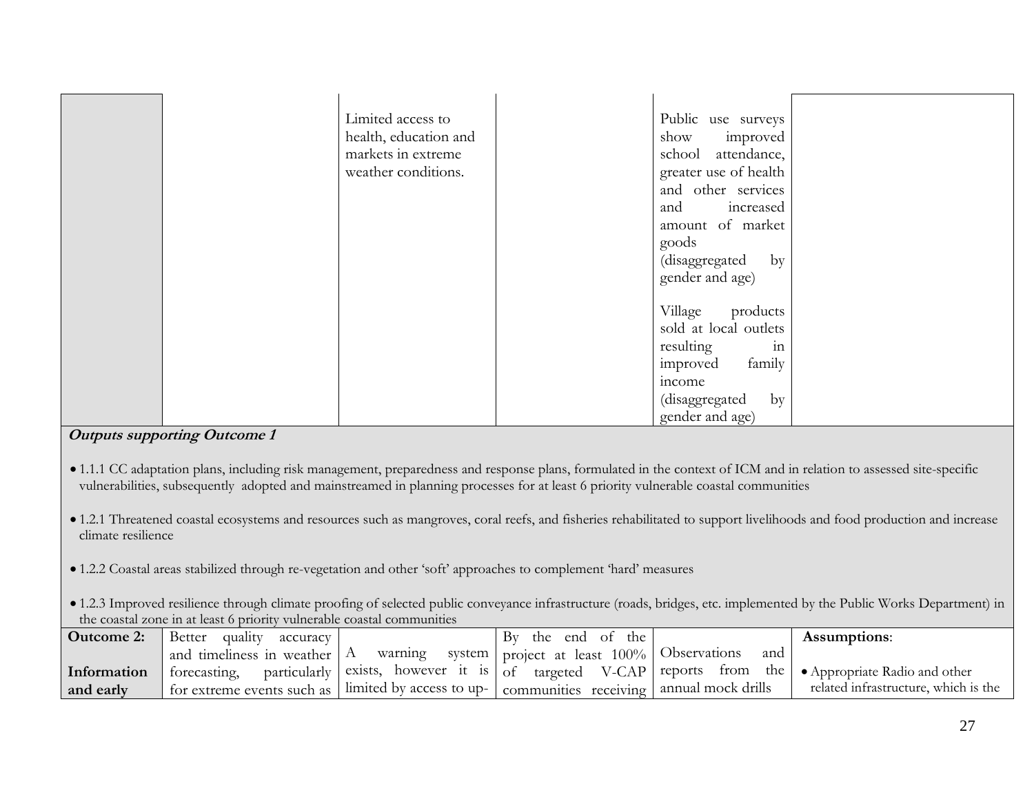| Limited access to     | Public use surveys    |  |
|-----------------------|-----------------------|--|
| health, education and | show<br>improved      |  |
| markets in extreme    | school attendance,    |  |
| weather conditions.   | greater use of health |  |
|                       | and other services    |  |
|                       | and<br>increased      |  |
|                       | amount of market      |  |
|                       | goods                 |  |
|                       | (disaggregated<br>by  |  |
|                       | gender and age)       |  |
|                       |                       |  |
|                       | Village<br>products   |  |
|                       | sold at local outlets |  |
|                       | in<br>resulting       |  |
|                       | improved<br>family    |  |
|                       | income                |  |
|                       | (disaggregated<br>by  |  |
|                       | gender and age)       |  |

- 1.1.1 CC adaptation plans, including risk management, preparedness and response plans, formulated in the context of ICM and in relation to assessed site-specific vulnerabilities, subsequently adopted and mainstreamed in planning processes for at least 6 priority vulnerable coastal communities
- 1.2.1 Threatened coastal ecosystems and resources such as mangroves, coral reefs, and fisheries rehabilitated to support livelihoods and food production and increase climate resilience
- 1.2.2 Coastal areas stabilized through re-vegetation and other 'soft' approaches to complement 'hard' measures
- 1.2.3 Improved resilience through climate proofing of selected public conveyance infrastructure (roads, bridges, etc. implemented by the Public Works Department) in the coastal zone in at least 6 priority vulnerable coastal communities

| Outcome 2:  | Better<br>quality<br>accuracy                                        |         | the end of the<br>Bv                             |     | <b>Assumptions:</b>                                                                                              |
|-------------|----------------------------------------------------------------------|---------|--------------------------------------------------|-----|------------------------------------------------------------------------------------------------------------------|
|             | and timeliness in weather A                                          | warning | system   project at least $100\%$   Observations | and |                                                                                                                  |
| Information |                                                                      |         |                                                  |     | forecasting, particularly exists, however it is of targeted V-CAP reports from the • Appropriate Radio and other |
| and early   | $\blacksquare$ for extreme events such as   limited by access to up- |         | communities receiving annual mock drills         |     | related infrastructure, which is the                                                                             |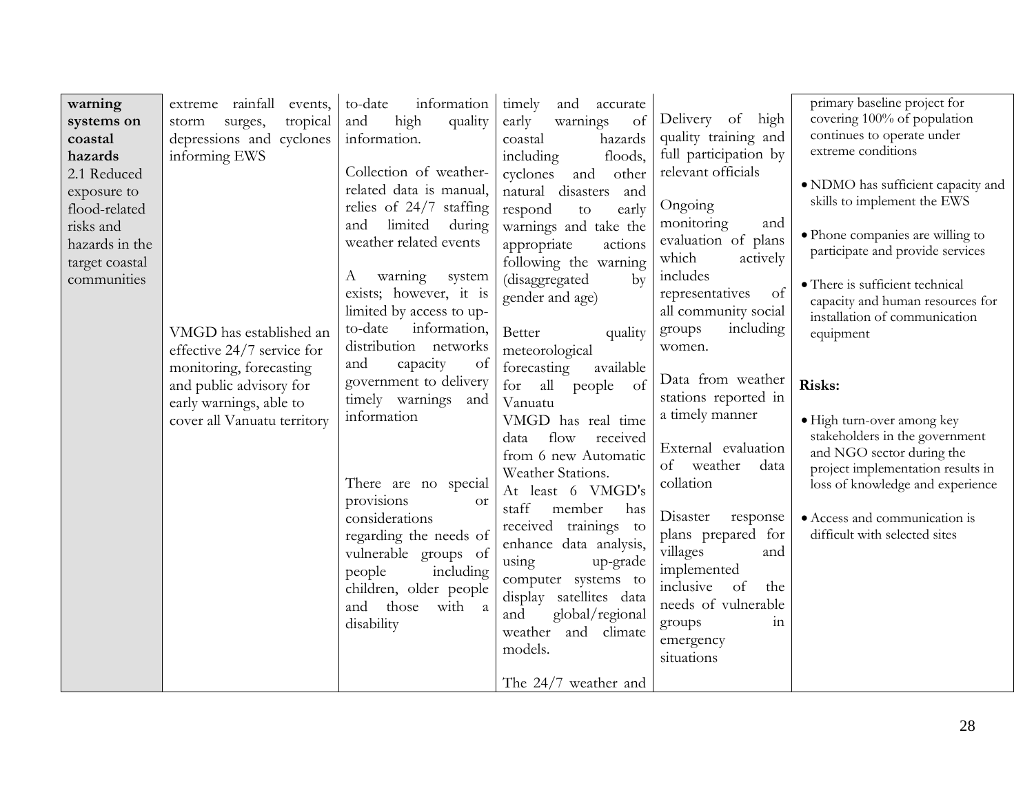| warning<br>systems on<br>coastal<br>hazards<br>2.1 Reduced<br>exposure to<br>flood-related<br>risks and<br>hazards in the<br>target coastal<br>communities | extreme rainfall<br>events,<br>tropical<br>surges,<br>storm<br>depressions and cyclones<br>informing EWS<br>VMGD has established an<br>effective 24/7 service for | to-date<br>information<br>high<br>quality<br>and<br>information.<br>Collection of weather-<br>related data is manual,<br>relies of 24/7 staffing<br>limited<br>during<br>and<br>weather related events<br>warning<br>А<br>system<br>exists; however, it is<br>limited by access to up-<br>information,<br>to-date<br>distribution networks | timely<br>and<br>accurate<br>warnings<br>early<br>of<br>hazards<br>coastal<br>including<br>floods,<br>other<br>cyclones<br>and<br>disasters<br>natural<br>and<br>early<br>respond<br>to<br>warnings and take the<br>appropriate<br>actions<br>following the warning<br>(disaggregated<br>$\mathbf{b}$<br>gender and age)<br>Better<br>quality<br>meteorological                                                                 | Delivery of high<br>quality training and<br>full participation by<br>relevant officials<br>Ongoing<br>monitoring<br>and<br>evaluation of plans<br>which<br>actively<br>includes<br>of<br>representatives<br>all community social<br>including<br>groups<br>women.                                   | primary baseline project for<br>covering 100% of population<br>continues to operate under<br>extreme conditions<br>• NDMO has sufficient capacity and<br>skills to implement the EWS<br>· Phone companies are willing to<br>participate and provide services<br>• There is sufficient technical<br>capacity and human resources for<br>installation of communication<br>equipment |
|------------------------------------------------------------------------------------------------------------------------------------------------------------|-------------------------------------------------------------------------------------------------------------------------------------------------------------------|--------------------------------------------------------------------------------------------------------------------------------------------------------------------------------------------------------------------------------------------------------------------------------------------------------------------------------------------|---------------------------------------------------------------------------------------------------------------------------------------------------------------------------------------------------------------------------------------------------------------------------------------------------------------------------------------------------------------------------------------------------------------------------------|-----------------------------------------------------------------------------------------------------------------------------------------------------------------------------------------------------------------------------------------------------------------------------------------------------|-----------------------------------------------------------------------------------------------------------------------------------------------------------------------------------------------------------------------------------------------------------------------------------------------------------------------------------------------------------------------------------|
|                                                                                                                                                            | monitoring, forecasting<br>and public advisory for<br>early warnings, able to<br>cover all Vanuatu territory                                                      | and<br>capacity<br>of<br>government to delivery<br>timely warnings and<br>information<br>There are no special<br>provisions<br><sub>O</sub> r<br>considerations<br>regarding the needs of<br>vulnerable groups of<br>people<br>including<br>children, older people<br>those<br>and<br>with<br><sub>a</sub><br>disability                   | forecasting<br>available<br>for<br>all<br>of<br>people<br>Vanuatu<br>VMGD has real time<br>flow<br>data<br>received<br>from 6 new Automatic<br>Weather Stations.<br>At least 6 VMGD's<br>staff<br>member<br>has<br>received trainings to<br>enhance data analysis,<br>using<br>up-grade<br>computer systems to<br>display satellites data<br>global/regional<br>and<br>weather and climate<br>models.<br>The $24/7$ weather and | Data from weather<br>stations reported in<br>a timely manner<br>External evaluation<br>of weather<br>data<br>collation<br>Disaster<br>response<br>plans prepared for<br>villages<br>and<br>implemented<br>inclusive<br>of<br>the<br>needs of vulnerable<br>groups<br>111<br>emergency<br>situations | Risks:<br>• High turn-over among key<br>stakeholders in the government<br>and NGO sector during the<br>project implementation results in<br>loss of knowledge and experience<br>• Access and communication is<br>difficult with selected sites                                                                                                                                    |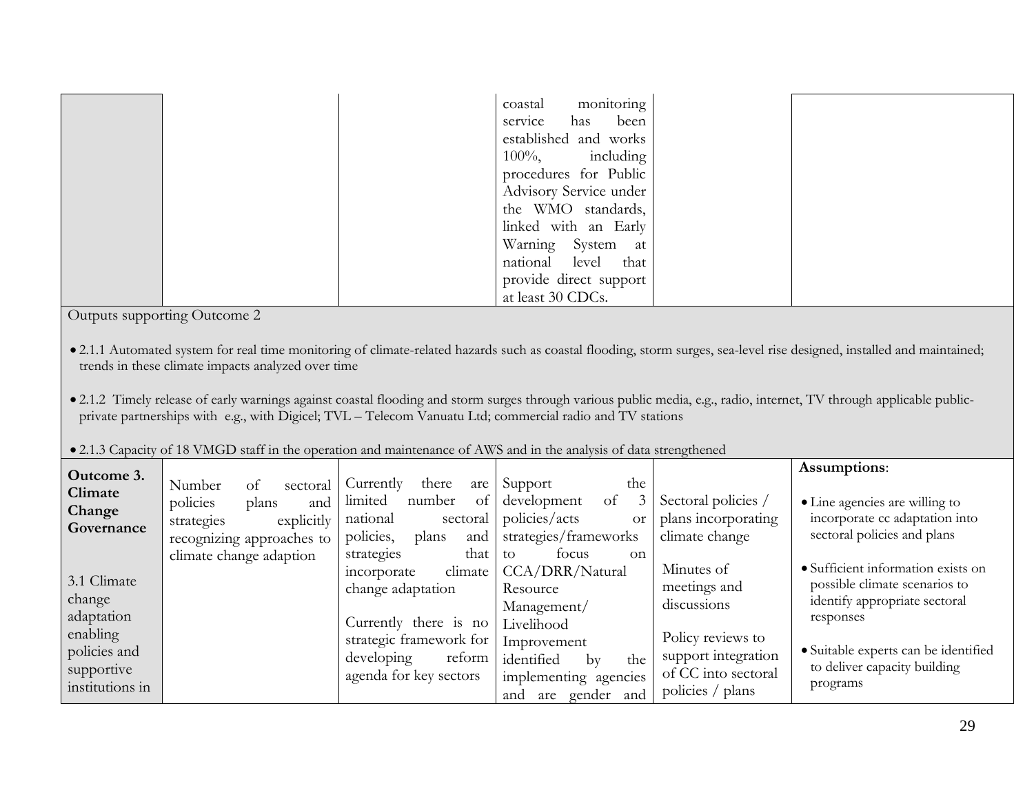|  | coastal monitoring     |  |
|--|------------------------|--|
|  | service has been       |  |
|  | established and works  |  |
|  | $100\%,$ including     |  |
|  | procedures for Public  |  |
|  | Advisory Service under |  |
|  | the WMO standards,     |  |
|  | linked with an Early   |  |
|  | Warning System at      |  |
|  | national level that    |  |
|  | provide direct support |  |
|  | at least 30 CDCs.      |  |

- 2.1.1 Automated system for real time monitoring of climate-related hazards such as coastal flooding, storm surges, sea-level rise designed, installed and maintained; trends in these climate impacts analyzed over time
- 2.1.2 Timely release of early warnings against coastal flooding and storm surges through various public media, e.g., radio, internet, TV through applicable publicprivate partnerships with e.g., with Digicel; TVL – Telecom Vanuatu Ltd; commercial radio and TV stations

• 2.1.3 Capacity of 18 VMGD staff in the operation and maintenance of AWS and in the analysis of data strengthened

| Outcome 3.      |                           |                             |                            |                     | Assumptions:                         |
|-----------------|---------------------------|-----------------------------|----------------------------|---------------------|--------------------------------------|
| Climate         | Number<br>sectoral<br>-ot | there<br>Currently<br>are 1 | the<br>Support             |                     |                                      |
|                 | policies<br>plans<br>and  | number<br>limited<br>of     | development<br>3<br>of     | Sectoral policies / | • Line agencies are willing to       |
| Change          | explicitly<br>strategies  | sectoral<br>national        | policies/acts<br><b>Or</b> | plans incorporating | incorporate cc adaptation into       |
| Governance      | recognizing approaches to | and<br>policies,<br>plans   | strategies/frameworks      | climate change      | sectoral policies and plans          |
|                 | climate change adaption   | that<br>strategies          | focus<br>to<br>$\alpha$    |                     |                                      |
|                 |                           | climate<br>incorporate      | CCA/DRR/Natural            | Minutes of          | · Sufficient information exists on   |
| 3.1 Climate     |                           | change adaptation           | Resource                   | meetings and        | possible climate scenarios to        |
| change          |                           |                             | Management/                | discussions         | identify appropriate sectoral        |
| adaptation      |                           | Currently there is no       | Livelihood                 |                     | responses                            |
| enabling        |                           | strategic framework for     | Improvement                | Policy reviews to   |                                      |
| policies and    |                           | developing<br>reform        | identified<br>the<br>by    | support integration | · Suitable experts can be identified |
| supportive      |                           | agenda for key sectors      | implementing agencies      | of CC into sectoral | to deliver capacity building         |
| institutions in |                           |                             | and<br>are gender<br>and   | policies / plans    | programs                             |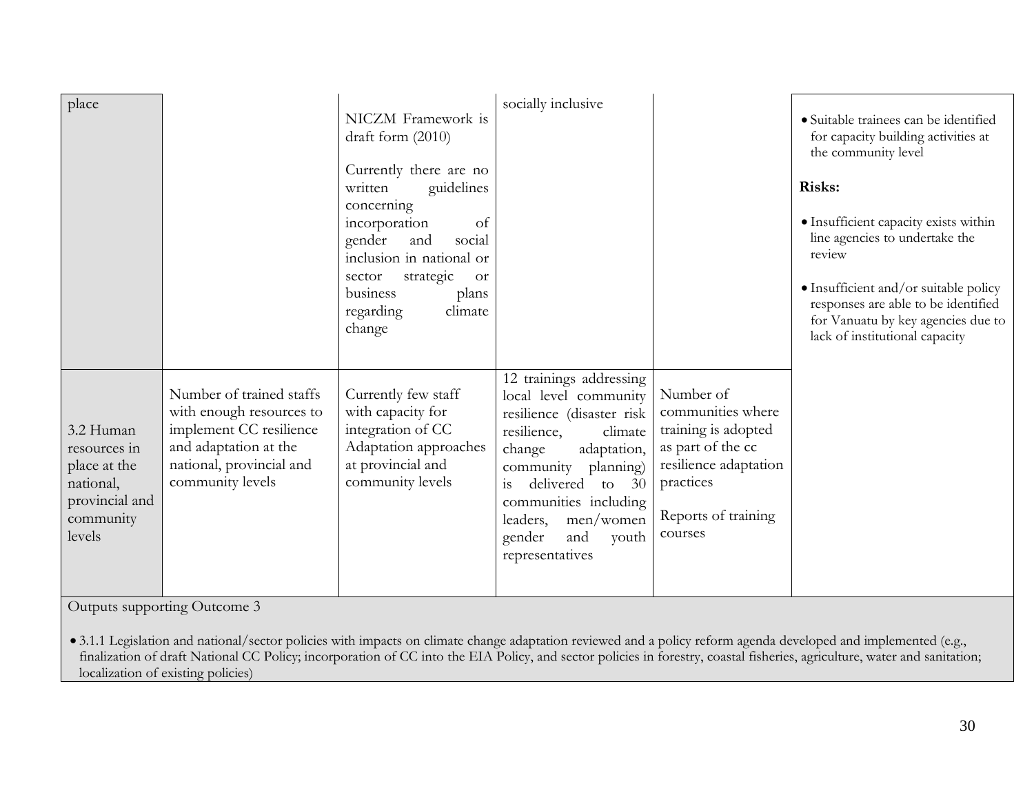| place                                                                                           |                                                                                                                                                          | NICZM Framework is<br>draft form (2010)<br>Currently there are no<br>guidelines<br>written<br>concerning<br>incorporation<br>of<br>gender<br>social<br>and<br>inclusion in national or<br>strategic<br>sector<br><b>or</b><br>business<br>plans<br>regarding<br>climate<br>change | socially inclusive                                                                                                                                                                                                                                                                 |                                                                                                                                                    | · Suitable trainees can be identified<br>for capacity building activities at<br>the community level<br>Risks:<br>· Insufficient capacity exists within<br>line agencies to undertake the<br>review<br>· Insufficient and/or suitable policy<br>responses are able to be identified<br>for Vanuatu by key agencies due to<br>lack of institutional capacity |
|-------------------------------------------------------------------------------------------------|----------------------------------------------------------------------------------------------------------------------------------------------------------|-----------------------------------------------------------------------------------------------------------------------------------------------------------------------------------------------------------------------------------------------------------------------------------|------------------------------------------------------------------------------------------------------------------------------------------------------------------------------------------------------------------------------------------------------------------------------------|----------------------------------------------------------------------------------------------------------------------------------------------------|------------------------------------------------------------------------------------------------------------------------------------------------------------------------------------------------------------------------------------------------------------------------------------------------------------------------------------------------------------|
| 3.2 Human<br>resources in<br>place at the<br>national,<br>provincial and<br>community<br>levels | Number of trained staffs<br>with enough resources to<br>implement CC resilience<br>and adaptation at the<br>national, provincial and<br>community levels | Currently few staff<br>with capacity for<br>integration of CC<br>Adaptation approaches<br>at provincial and<br>community levels                                                                                                                                                   | 12 trainings addressing<br>local level community<br>resilience (disaster risk<br>resilience,<br>climate<br>change<br>adaptation,<br>community planning)<br>delivered to<br>30<br>1S<br>communities including<br>leaders,<br>men/women<br>gender<br>and<br>youth<br>representatives | Number of<br>communities where<br>training is adopted<br>as part of the cc<br>resilience adaptation<br>practices<br>Reports of training<br>courses |                                                                                                                                                                                                                                                                                                                                                            |

• 3.1.1 Legislation and national/sector policies with impacts on climate change adaptation reviewed and a policy reform agenda developed and implemented (e.g., finalization of draft National CC Policy; incorporation of CC into the EIA Policy, and sector policies in forestry, coastal fisheries, agriculture, water and sanitation; localization of existing policies)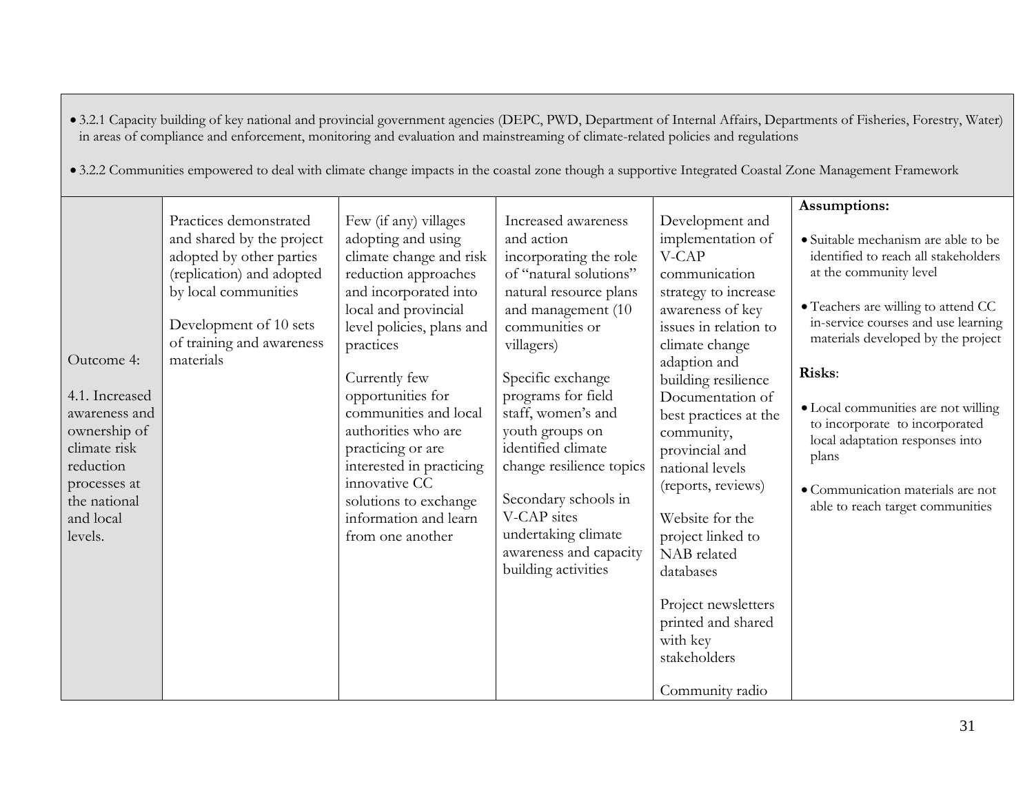|                                                                                                                                                    | in areas of compliance and enforcement, monitoring and evaluation and mainstreaming of climate-related policies and regulations<br>• 3.2.2 Communities empowered to deal with climate change impacts in the coastal zone though a supportive Integrated Coastal Zone Management Framework |                                                                                                                                                                                                                                                                                                                                                                                                                         |                                                                                                                                                                                                                                                                                                                                                                                                                            |                                                                                                                                                                                                                                                                                                                                                                                                                                                                                    | • 3.2.1 Capacity building of key national and provincial government agencies (DEPC, PWD, Department of Internal Affairs, Departments of Fisheries, Forestry, Water)                                                                                                                                                                                                                                                                               |
|----------------------------------------------------------------------------------------------------------------------------------------------------|-------------------------------------------------------------------------------------------------------------------------------------------------------------------------------------------------------------------------------------------------------------------------------------------|-------------------------------------------------------------------------------------------------------------------------------------------------------------------------------------------------------------------------------------------------------------------------------------------------------------------------------------------------------------------------------------------------------------------------|----------------------------------------------------------------------------------------------------------------------------------------------------------------------------------------------------------------------------------------------------------------------------------------------------------------------------------------------------------------------------------------------------------------------------|------------------------------------------------------------------------------------------------------------------------------------------------------------------------------------------------------------------------------------------------------------------------------------------------------------------------------------------------------------------------------------------------------------------------------------------------------------------------------------|---------------------------------------------------------------------------------------------------------------------------------------------------------------------------------------------------------------------------------------------------------------------------------------------------------------------------------------------------------------------------------------------------------------------------------------------------|
| Outcome 4:<br>4.1. Increased<br>awareness and<br>ownership of<br>climate risk<br>reduction<br>processes at<br>the national<br>and local<br>levels. | Practices demonstrated<br>and shared by the project<br>adopted by other parties<br>(replication) and adopted<br>by local communities<br>Development of 10 sets<br>of training and awareness<br>materials                                                                                  | Few (if any) villages<br>adopting and using<br>climate change and risk<br>reduction approaches<br>and incorporated into<br>local and provincial<br>level policies, plans and<br>practices<br>Currently few<br>opportunities for<br>communities and local<br>authorities who are<br>practicing or are<br>interested in practicing<br>innovative CC<br>solutions to exchange<br>information and learn<br>from one another | Increased awareness<br>and action<br>incorporating the role<br>of "natural solutions"<br>natural resource plans<br>and management (10<br>communities or<br>villagers)<br>Specific exchange<br>programs for field<br>staff, women's and<br>youth groups on<br>identified climate<br>change resilience topics<br>Secondary schools in<br>V-CAP sites<br>undertaking climate<br>awareness and capacity<br>building activities | Development and<br>implementation of<br>V-CAP<br>communication<br>strategy to increase<br>awareness of key<br>issues in relation to<br>climate change<br>adaption and<br>building resilience<br>Documentation of<br>best practices at the<br>community,<br>provincial and<br>national levels<br>(reports, reviews)<br>Website for the<br>project linked to<br>NAB related<br>databases<br>Project newsletters<br>printed and shared<br>with key<br>stakeholders<br>Community radio | Assumptions:<br>• Suitable mechanism are able to be<br>identified to reach all stakeholders<br>at the community level<br>• Teachers are willing to attend CC<br>in-service courses and use learning<br>materials developed by the project<br>Risks:<br>· Local communities are not willing<br>to incorporate to incorporated<br>local adaptation responses into<br>plans<br>• Communication materials are not<br>able to reach target communities |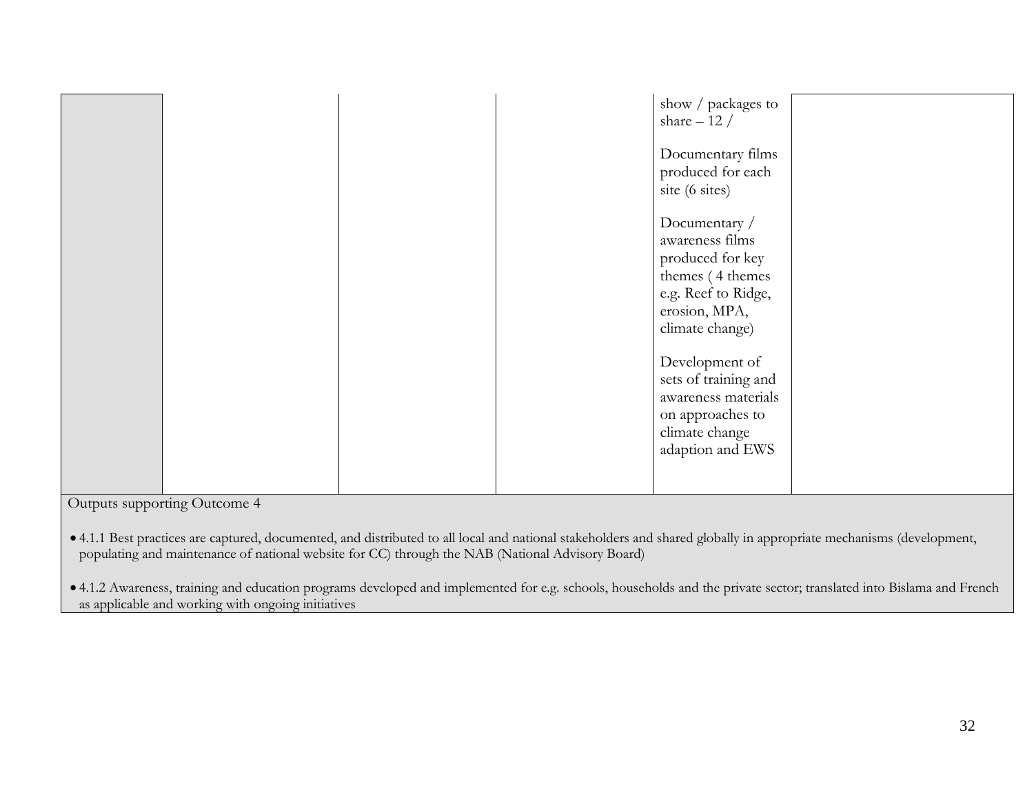| show / packages to<br>share $-12/$<br>Documentary films<br>produced for each<br>site (6 sites)<br>Documentary /<br>awareness films<br>produced for key<br>themes (4 themes<br>e.g. Reef to Ridge, |
|---------------------------------------------------------------------------------------------------------------------------------------------------------------------------------------------------|
| erosion, MPA,<br>climate change)<br>Development of<br>sets of training and<br>awareness materials<br>on approaches to<br>climate change<br>adaption and EWS                                       |

• 4.1.1 Best practices are captured, documented, and distributed to all local and national stakeholders and shared globally in appropriate mechanisms (development, populating and maintenance of national website for CC) through the NAB (National Advisory Board)

• 4.1.2 Awareness, training and education programs developed and implemented for e.g. schools, households and the private sector; translated into Bislama and French as applicable and working with ongoing initiatives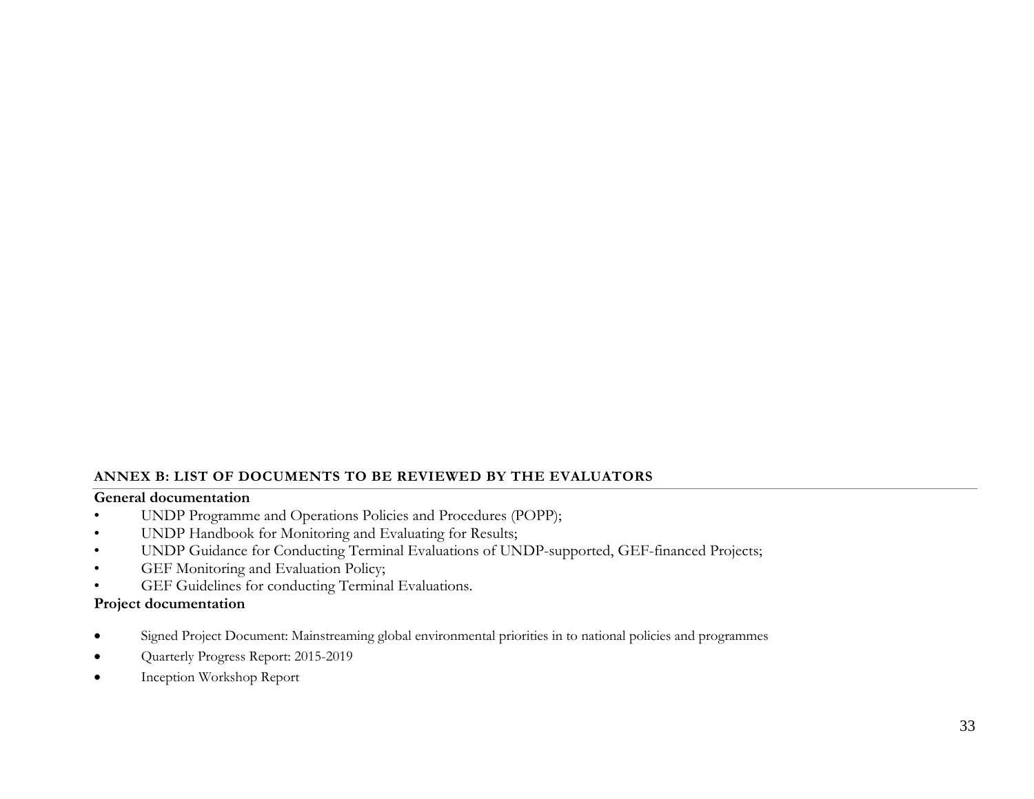### **ANNEX B: LIST OF DOCUMENTS TO BE REVIEWED BY THE EVALUATORS**

### **General documentation**

- UNDP Programme and Operations Policies and Procedures (POPP);
- UNDP Handbook for Monitoring and Evaluating for Results;
- UNDP Guidance for Conducting Terminal Evaluations of UNDP-supported, GEF-financed Projects;
- GEF Monitoring and Evaluation Policy;
- GEF Guidelines for conducting Terminal Evaluations.

### **Project documentation**

- Signed Project Document: Mainstreaming global environmental priorities in to national policies and programmes
- Quarterly Progress Report: 2015-2019
- Inception Workshop Report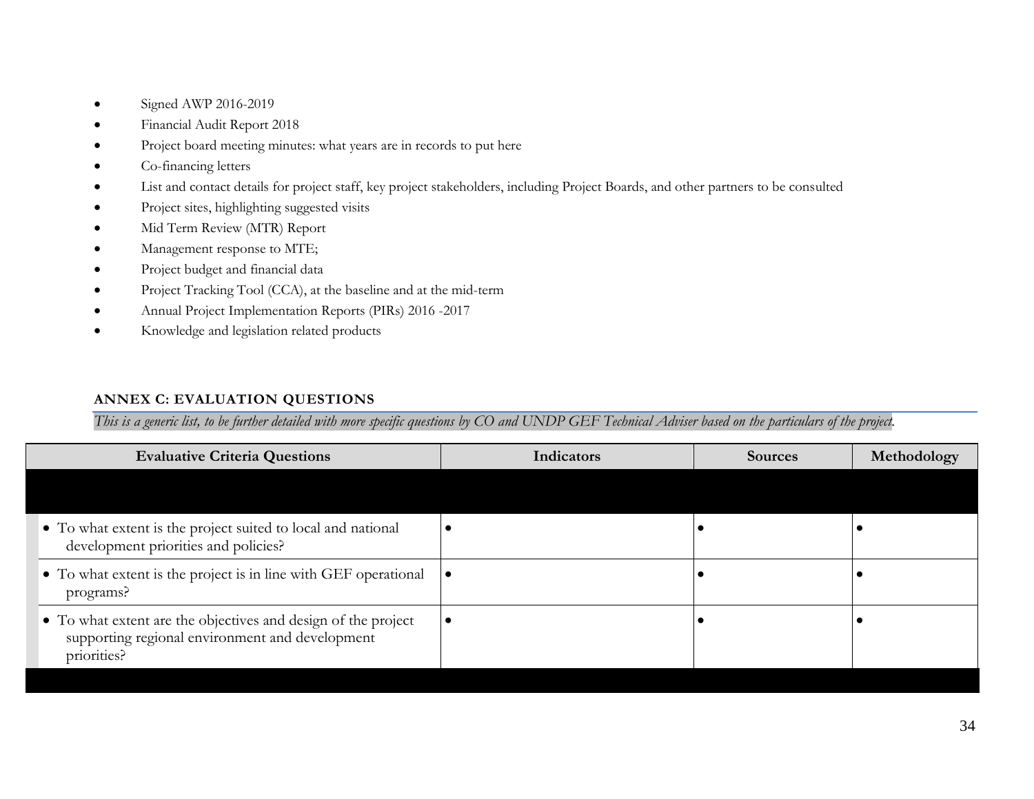- Signed AWP 2016-2019
- Financial Audit Report 2018
- Project board meeting minutes: what years are in records to put here
- Co-financing letters
- List and contact details for project staff, key project stakeholders, including Project Boards, and other partners to be consulted
- Project sites, highlighting suggested visits
- Mid Term Review (MTR) Report
- Management response to MTE;
- Project budget and financial data
- Project Tracking Tool (CCA), at the baseline and at the mid-term
- Annual Project Implementation Reports (PIRs) 2016 -2017
- Knowledge and legislation related products

# **ANNEX C: EVALUATION QUESTIONS**

*This is a generic list, to be further detailed with more specific questions by CO and UNDP GEF Technical Adviser based on the particulars of the project.*

| <b>Evaluative Criteria Questions</b>                                                                                            | Indicators | Sources | Methodology |
|---------------------------------------------------------------------------------------------------------------------------------|------------|---------|-------------|
|                                                                                                                                 |            |         |             |
| • To what extent is the project suited to local and national<br>development priorities and policies?                            |            |         |             |
| • To what extent is the project is in line with GEF operational $\bullet$<br>programs?                                          |            |         |             |
| • To what extent are the objectives and design of the project<br>supporting regional environment and development<br>priorities? |            |         |             |
|                                                                                                                                 |            |         |             |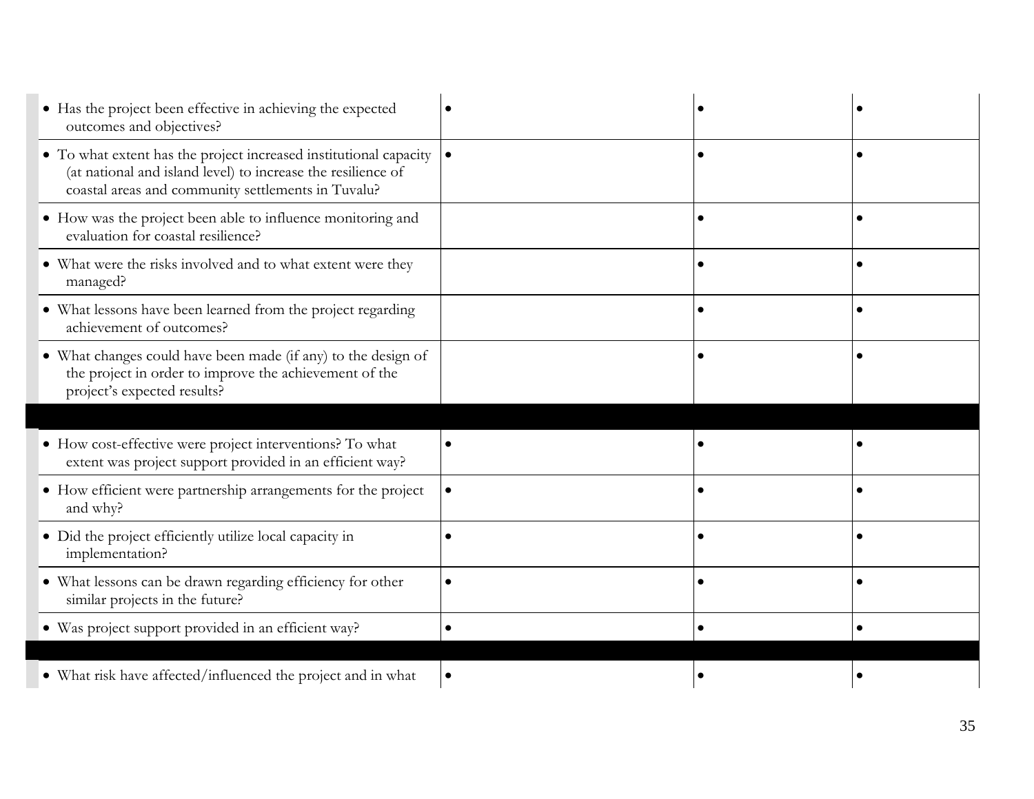| • Has the project been effective in achieving the expected<br>outcomes and objectives?                                                                                                  |           |           |  |
|-----------------------------------------------------------------------------------------------------------------------------------------------------------------------------------------|-----------|-----------|--|
| • To what extent has the project increased institutional capacity<br>(at national and island level) to increase the resilience of<br>coastal areas and community settlements in Tuvalu? |           |           |  |
| • How was the project been able to influence monitoring and<br>evaluation for coastal resilience?                                                                                       |           |           |  |
| • What were the risks involved and to what extent were they<br>managed?                                                                                                                 |           |           |  |
| • What lessons have been learned from the project regarding<br>achievement of outcomes?                                                                                                 |           |           |  |
| • What changes could have been made (if any) to the design of<br>the project in order to improve the achievement of the<br>project's expected results?                                  |           |           |  |
|                                                                                                                                                                                         |           |           |  |
| • How cost-effective were project interventions? To what<br>extent was project support provided in an efficient way?                                                                    | $\bullet$ |           |  |
|                                                                                                                                                                                         |           |           |  |
| • How efficient were partnership arrangements for the project<br>and why?                                                                                                               |           | $\bullet$ |  |
| • Did the project efficiently utilize local capacity in<br>implementation?                                                                                                              |           |           |  |
| • What lessons can be drawn regarding efficiency for other<br>similar projects in the future?                                                                                           |           |           |  |
| · Was project support provided in an efficient way?                                                                                                                                     |           |           |  |
|                                                                                                                                                                                         |           |           |  |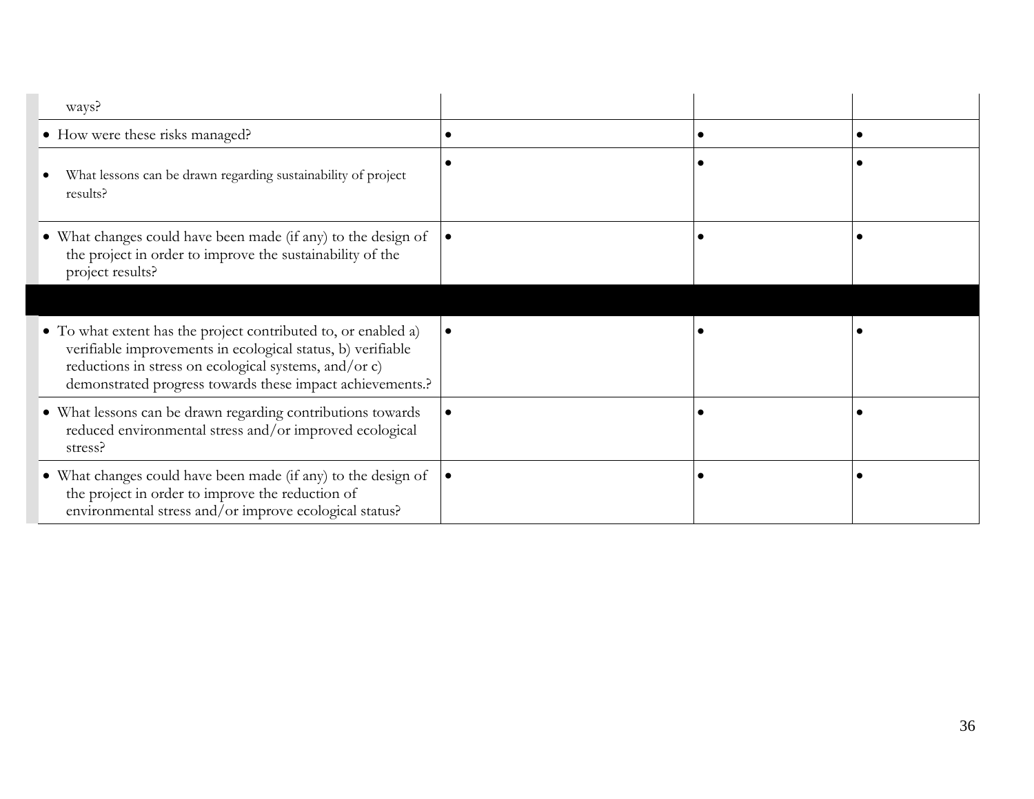| ways?                                                                                                                                                                                                                                               |  |  |
|-----------------------------------------------------------------------------------------------------------------------------------------------------------------------------------------------------------------------------------------------------|--|--|
| • How were these risks managed?                                                                                                                                                                                                                     |  |  |
| What lessons can be drawn regarding sustainability of project<br>results?                                                                                                                                                                           |  |  |
| • What changes could have been made (if any) to the design of<br>the project in order to improve the sustainability of the<br>project results?                                                                                                      |  |  |
|                                                                                                                                                                                                                                                     |  |  |
| • To what extent has the project contributed to, or enabled a)<br>verifiable improvements in ecological status, b) verifiable<br>reductions in stress on ecological systems, and/or c)<br>demonstrated progress towards these impact achievements.? |  |  |
| · What lessons can be drawn regarding contributions towards<br>reduced environmental stress and/or improved ecological<br>stress?                                                                                                                   |  |  |
| • What changes could have been made (if any) to the design of<br>the project in order to improve the reduction of<br>environmental stress and/or improve ecological status?                                                                         |  |  |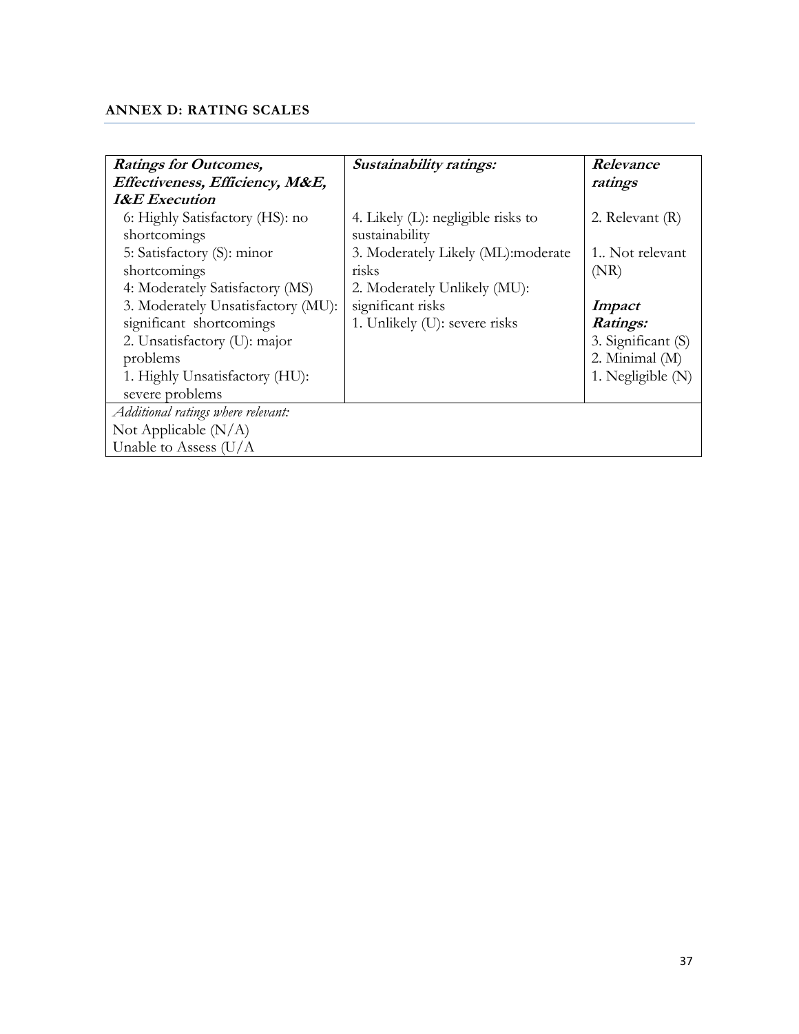# <span id="page-36-0"></span>**ANNEX D: RATING SCALES**

| <b>Ratings for Outcomes,</b>       | Sustainability ratings:               | Relevance           |
|------------------------------------|---------------------------------------|---------------------|
| Effectiveness, Efficiency, M&E,    |                                       | ratings             |
| <b>I&amp;E</b> Execution           |                                       |                     |
| 6: Highly Satisfactory (HS): no    | 4. Likely $(L)$ : negligible risks to | 2. Relevant (R)     |
| shortcomings                       | sustainability                        |                     |
| 5: Satisfactory (S): minor         | 3. Moderately Likely (ML):moderate    | 1. Not relevant     |
| shortcomings                       | risks                                 | (NR)                |
| 4: Moderately Satisfactory (MS)    | 2. Moderately Unlikely (MU):          |                     |
| 3. Moderately Unsatisfactory (MU): | significant risks                     | <i>Impact</i>       |
| significant shortcomings           | 1. Unlikely (U): severe risks         | Ratings:            |
| 2. Unsatisfactory (U): major       |                                       | 3. Significant (S)  |
| problems                           |                                       | 2. Minimal (M)      |
| 1. Highly Unsatisfactory (HU):     |                                       | 1. Negligible $(N)$ |
| severe problems                    |                                       |                     |
| Additional ratings where relevant: |                                       |                     |
| Not Applicable $(N/A)$             |                                       |                     |
| Unable to Assess $(U/A)$           |                                       |                     |
|                                    |                                       |                     |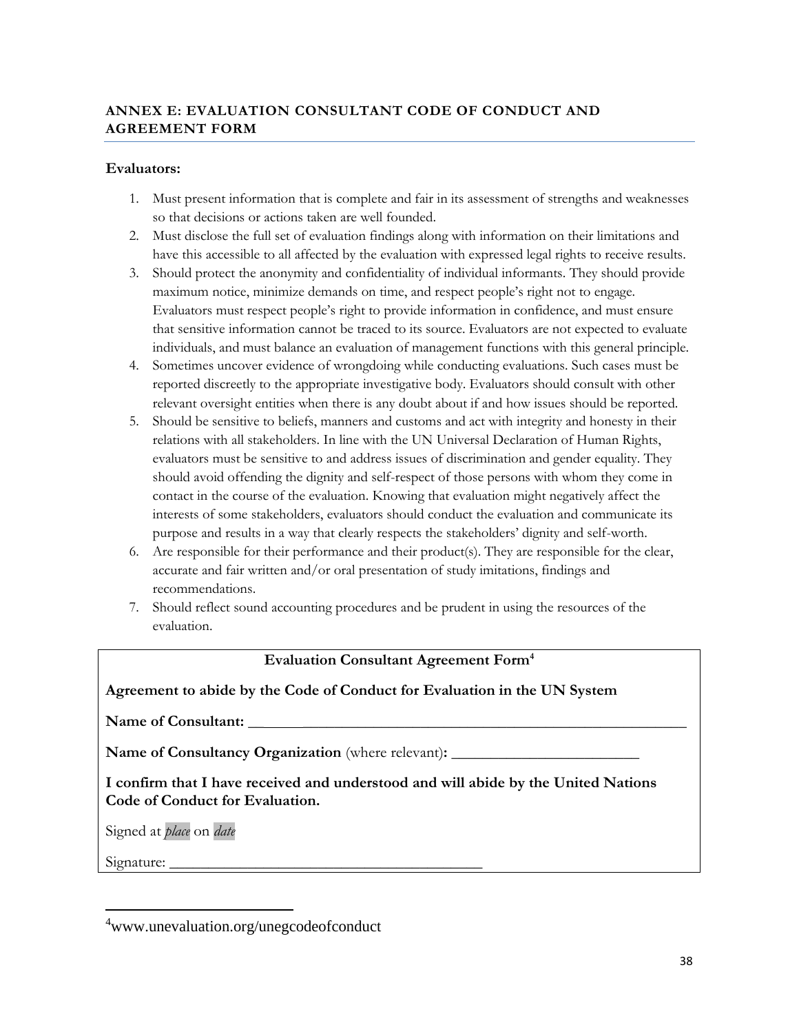# **ANNEX E: EVALUATION CONSULTANT CODE OF CONDUCT AND AGREEMENT FORM**

#### **Evaluators:**

- 1. Must present information that is complete and fair in its assessment of strengths and weaknesses so that decisions or actions taken are well founded.
- 2. Must disclose the full set of evaluation findings along with information on their limitations and have this accessible to all affected by the evaluation with expressed legal rights to receive results.
- 3. Should protect the anonymity and confidentiality of individual informants. They should provide maximum notice, minimize demands on time, and respect people's right not to engage. Evaluators must respect people's right to provide information in confidence, and must ensure that sensitive information cannot be traced to its source. Evaluators are not expected to evaluate individuals, and must balance an evaluation of management functions with this general principle.
- 4. Sometimes uncover evidence of wrongdoing while conducting evaluations. Such cases must be reported discreetly to the appropriate investigative body. Evaluators should consult with other relevant oversight entities when there is any doubt about if and how issues should be reported.
- 5. Should be sensitive to beliefs, manners and customs and act with integrity and honesty in their relations with all stakeholders. In line with the UN Universal Declaration of Human Rights, evaluators must be sensitive to and address issues of discrimination and gender equality. They should avoid offending the dignity and self-respect of those persons with whom they come in contact in the course of the evaluation. Knowing that evaluation might negatively affect the interests of some stakeholders, evaluators should conduct the evaluation and communicate its purpose and results in a way that clearly respects the stakeholders' dignity and self-worth.
- 6. Are responsible for their performance and their product(s). They are responsible for the clear, accurate and fair written and/or oral presentation of study imitations, findings and recommendations.
- 7. Should reflect sound accounting procedures and be prudent in using the resources of the evaluation.

### **Evaluation Consultant Agreement Form<sup>4</sup>**

### **Agreement to abide by the Code of Conduct for Evaluation in the UN System**

**Name of Consultant:** \_\_ \_\_\_\_\_\_\_\_\_\_\_\_\_\_\_\_\_\_\_\_\_\_\_\_\_\_\_\_\_\_\_\_\_\_\_\_\_\_\_\_\_\_\_\_\_\_\_\_\_

Name of Consultancy Organization (where relevant): \_\_\_\_\_\_\_\_\_\_\_\_\_\_\_\_\_\_\_\_\_\_\_\_\_\_\_\_\_\_

**I confirm that I have received and understood and will abide by the United Nations Code of Conduct for Evaluation.** 

Signed at *place* on *date*

Signature:

 $\overline{a}$ 

<sup>4</sup>www.unevaluation.org/unegcodeofconduct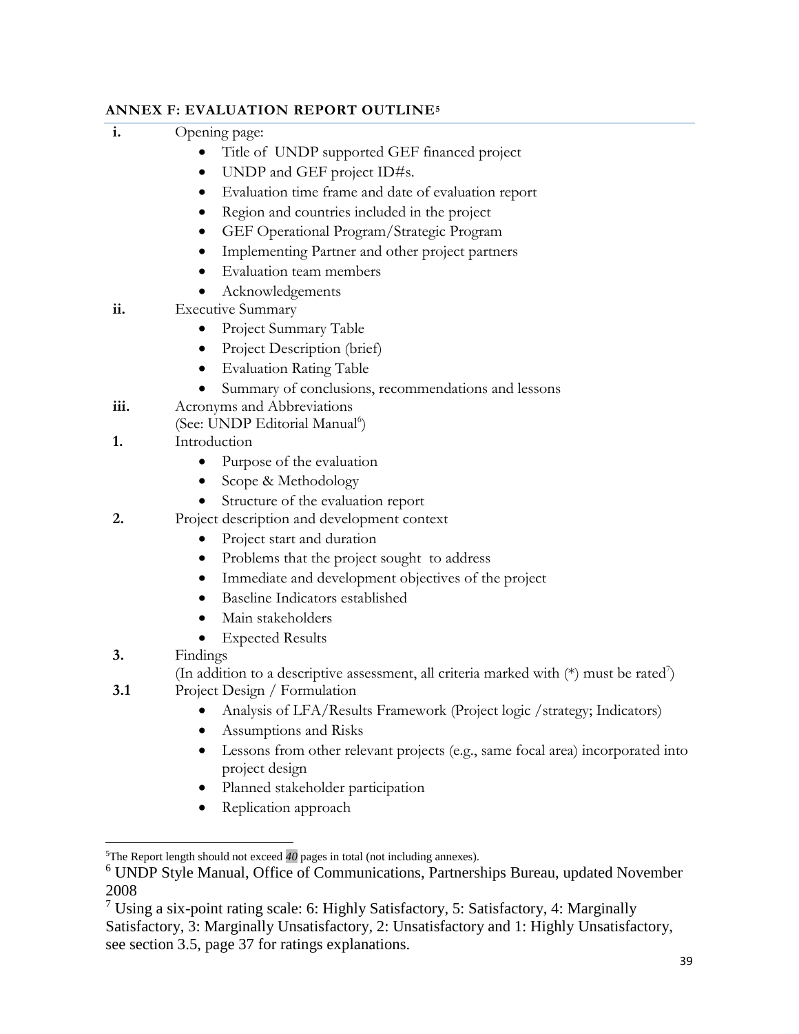# **ANNEX F: EVALUATION REPORT OUTLINE<sup>5</sup>**

| i.   | Opening page:                                                                                         |  |  |  |
|------|-------------------------------------------------------------------------------------------------------|--|--|--|
|      | Title of UNDP supported GEF financed project                                                          |  |  |  |
|      | UNDP and GEF project ID#s.<br>$\bullet$                                                               |  |  |  |
|      | Evaluation time frame and date of evaluation report                                                   |  |  |  |
|      | Region and countries included in the project                                                          |  |  |  |
|      | GEF Operational Program/Strategic Program                                                             |  |  |  |
|      | Implementing Partner and other project partners                                                       |  |  |  |
|      | Evaluation team members                                                                               |  |  |  |
|      | Acknowledgements                                                                                      |  |  |  |
| ii.  | <b>Executive Summary</b>                                                                              |  |  |  |
|      | Project Summary Table                                                                                 |  |  |  |
|      | Project Description (brief)                                                                           |  |  |  |
|      | <b>Evaluation Rating Table</b>                                                                        |  |  |  |
|      | Summary of conclusions, recommendations and lessons                                                   |  |  |  |
| iii. | Acronyms and Abbreviations                                                                            |  |  |  |
|      | (See: UNDP Editorial Manual <sup>6</sup> )                                                            |  |  |  |
| 1.   | Introduction                                                                                          |  |  |  |
|      | Purpose of the evaluation                                                                             |  |  |  |
|      | Scope & Methodology                                                                                   |  |  |  |
|      | Structure of the evaluation report                                                                    |  |  |  |
| 2.   | Project description and development context                                                           |  |  |  |
|      | Project start and duration<br>$\bullet$                                                               |  |  |  |
|      | Problems that the project sought to address<br>$\bullet$                                              |  |  |  |
|      | Immediate and development objectives of the project<br>$\bullet$                                      |  |  |  |
|      | Baseline Indicators established<br>٠                                                                  |  |  |  |
|      | Main stakeholders                                                                                     |  |  |  |
|      | <b>Expected Results</b>                                                                               |  |  |  |
| 3.   | Findings                                                                                              |  |  |  |
|      | (In addition to a descriptive assessment, all criteria marked with $(*)$ must be rated <sup>7</sup> ) |  |  |  |
| 3.1  | Project Design / Formulation                                                                          |  |  |  |
|      | Analysis of LFA/Results Framework (Project logic /strategy; Indicators)                               |  |  |  |
|      | Assumptions and Risks                                                                                 |  |  |  |
|      | Lessons from other relevant projects (e.g., same focal area) incorporated into                        |  |  |  |
|      | project design                                                                                        |  |  |  |
|      | Planned stakeholder participation                                                                     |  |  |  |
|      | Replication approach                                                                                  |  |  |  |
|      |                                                                                                       |  |  |  |
|      | <sup>5</sup> The Report length should not exceed $40$ pages in total (not including annexes).         |  |  |  |
|      | <sup>6</sup> UNDP Style Manual, Office of Communications, Partnerships Bureau, updated November       |  |  |  |
| 2008 |                                                                                                       |  |  |  |

<sup>7</sup> Using a six-point rating scale: 6: Highly Satisfactory, 5: Satisfactory, 4: Marginally Satisfactory, 3: Marginally Unsatisfactory, 2: Unsatisfactory and 1: Highly Unsatisfactory, see section 3.5, page 37 for ratings explanations.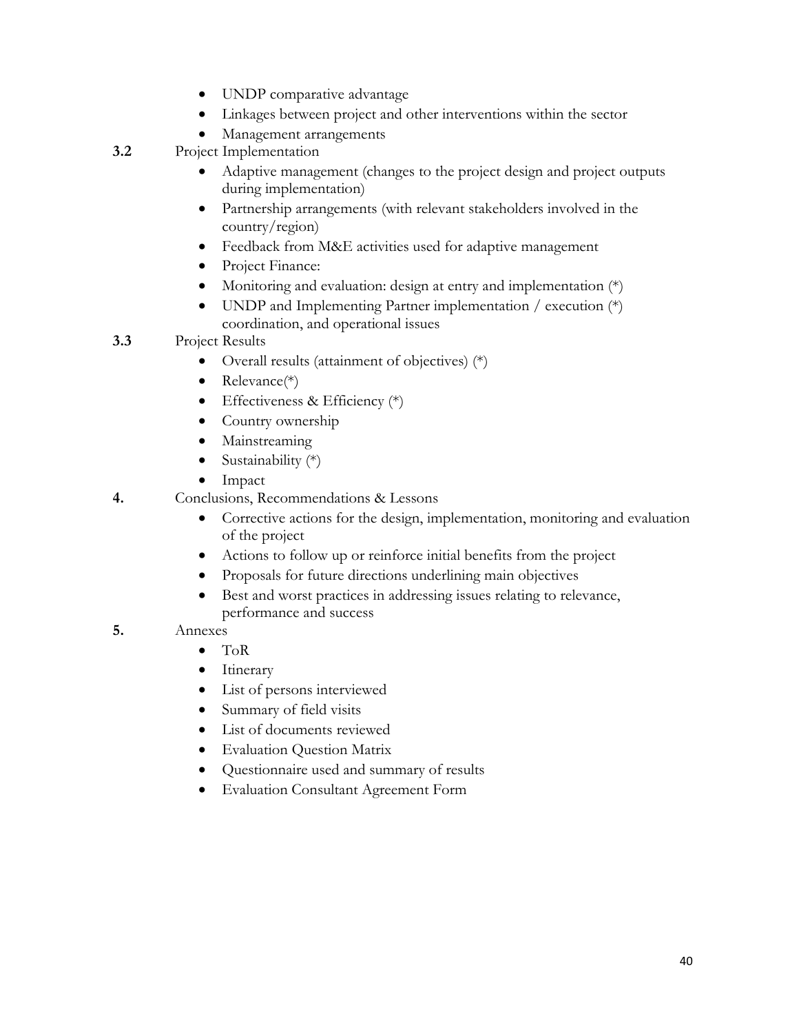- UNDP comparative advantage
- Linkages between project and other interventions within the sector
- Management arrangements
- **3.2** Project Implementation
	- Adaptive management (changes to the project design and project outputs during implementation)
	- Partnership arrangements (with relevant stakeholders involved in the country/region)
	- Feedback from M&E activities used for adaptive management
	- Project Finance:
	- Monitoring and evaluation: design at entry and implementation  $(*)$
	- UNDP and Implementing Partner implementation / execution  $(*)$ coordination, and operational issues
- **3.3** Project Results
	- Overall results (attainment of objectives) (\*)
	- Relevance(\*)
	- Effectiveness & Efficiency  $(*)$
	- Country ownership
	- Mainstreaming
	- Sustainability  $(*)$
	- Impact
- **4.** Conclusions, Recommendations & Lessons
	- Corrective actions for the design, implementation, monitoring and evaluation of the project
	- Actions to follow up or reinforce initial benefits from the project
	- Proposals for future directions underlining main objectives
	- Best and worst practices in addressing issues relating to relevance, performance and success
- **5.** Annexes
	- ToR
	- Itinerary
	- List of persons interviewed
	- Summary of field visits
	- List of documents reviewed
	- Evaluation Question Matrix
	- Questionnaire used and summary of results
	- Evaluation Consultant Agreement Form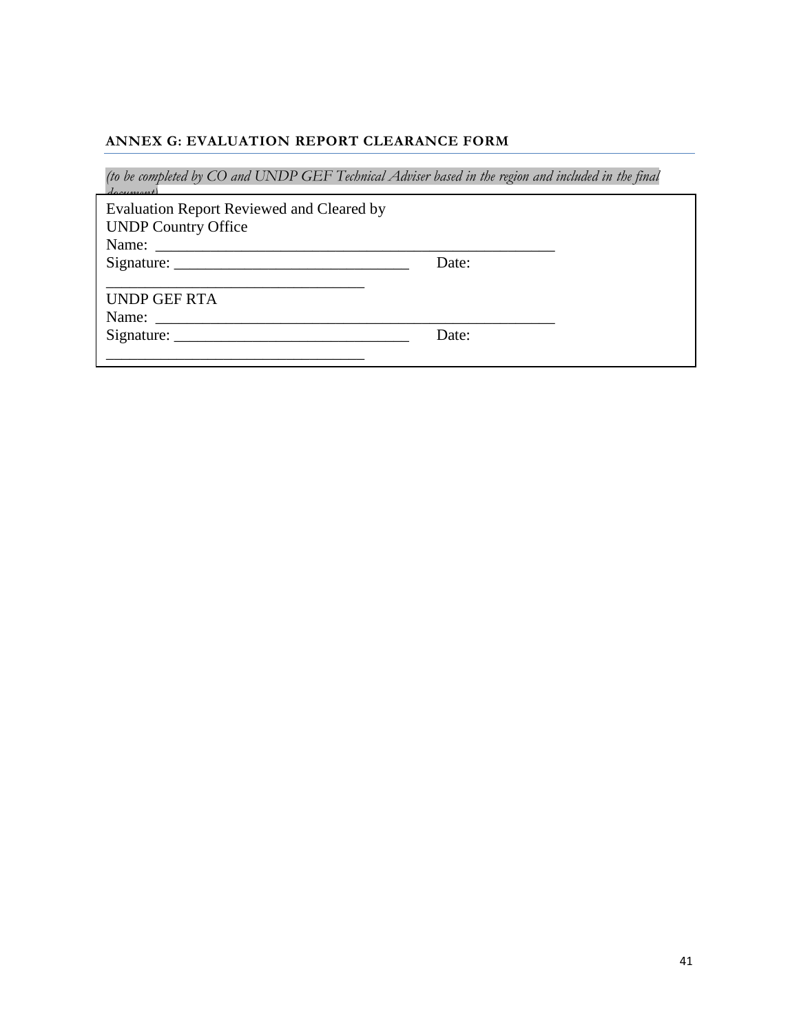#### **ANNEX G: EVALUATION REPORT CLEARANCE FORM**

*(to be completed by CO and UNDP GEF Technical Adviser based in the region and included in the final* 

*document)* Evaluation Report Reviewed and Cleared by UNDP Country Office Name: \_\_\_\_\_\_\_\_\_\_\_\_\_\_\_\_\_\_\_\_\_\_\_\_\_\_\_\_\_\_\_\_\_\_\_\_\_\_\_\_\_\_\_\_\_\_\_\_\_\_\_ Signature: \_\_\_\_\_\_\_\_\_\_\_\_\_\_\_\_\_\_\_\_\_\_\_\_\_\_\_\_\_\_ Date:

\_\_\_\_\_\_\_\_\_\_\_\_\_\_\_\_\_\_\_\_\_\_\_\_\_\_\_\_\_\_\_\_\_

UNDP GEF RTA

Name: \_\_\_\_\_\_\_\_\_\_\_\_\_\_\_\_\_\_\_\_\_\_\_\_\_\_\_\_\_\_\_\_\_\_\_\_\_\_\_\_\_\_\_\_\_\_\_\_\_\_\_

Signature: \_\_\_\_\_\_\_\_\_\_\_\_\_\_\_\_\_\_\_\_\_\_\_\_\_\_\_\_\_\_ Date: